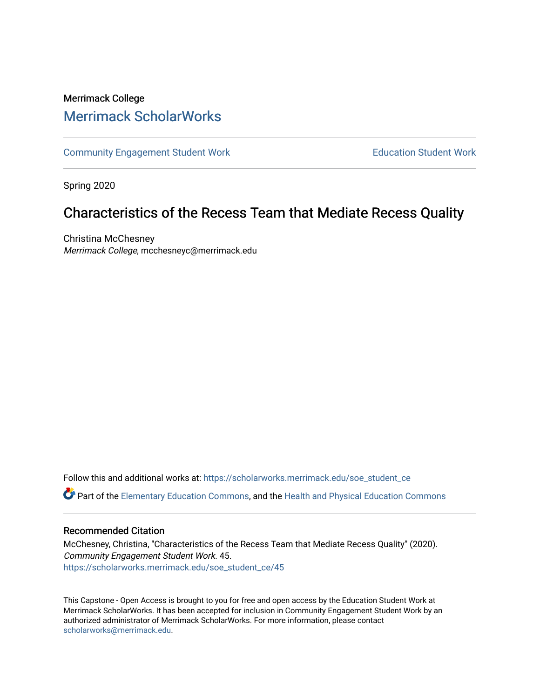# Merrimack College [Merrimack ScholarWorks](https://scholarworks.merrimack.edu/)

[Community Engagement Student Work](https://scholarworks.merrimack.edu/soe_student_ce) **Education Student Work** Education Student Work

Spring 2020

# Characteristics of the Recess Team that Mediate Recess Quality

Christina McChesney Merrimack College, mcchesneyc@merrimack.edu

Follow this and additional works at: [https://scholarworks.merrimack.edu/soe\\_student\\_ce](https://scholarworks.merrimack.edu/soe_student_ce?utm_source=scholarworks.merrimack.edu%2Fsoe_student_ce%2F45&utm_medium=PDF&utm_campaign=PDFCoverPages) 

Part of the [Elementary Education Commons,](http://network.bepress.com/hgg/discipline/1378?utm_source=scholarworks.merrimack.edu%2Fsoe_student_ce%2F45&utm_medium=PDF&utm_campaign=PDFCoverPages) and the [Health and Physical Education Commons](http://network.bepress.com/hgg/discipline/1327?utm_source=scholarworks.merrimack.edu%2Fsoe_student_ce%2F45&utm_medium=PDF&utm_campaign=PDFCoverPages) 

## Recommended Citation

McChesney, Christina, "Characteristics of the Recess Team that Mediate Recess Quality" (2020). Community Engagement Student Work. 45. [https://scholarworks.merrimack.edu/soe\\_student\\_ce/45](https://scholarworks.merrimack.edu/soe_student_ce/45?utm_source=scholarworks.merrimack.edu%2Fsoe_student_ce%2F45&utm_medium=PDF&utm_campaign=PDFCoverPages)

This Capstone - Open Access is brought to you for free and open access by the Education Student Work at Merrimack ScholarWorks. It has been accepted for inclusion in Community Engagement Student Work by an authorized administrator of Merrimack ScholarWorks. For more information, please contact [scholarworks@merrimack.edu](mailto:scholarworks@merrimack.edu).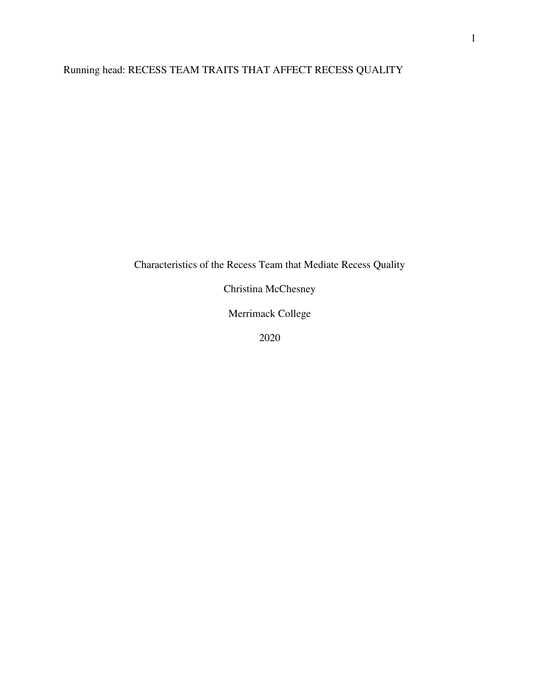# Running head: RECESS TEAM TRAITS THAT AFFECT RECESS QUALITY

Characteristics of the Recess Team that Mediate Recess Quality

Christina McChesney

Merrimack College

2020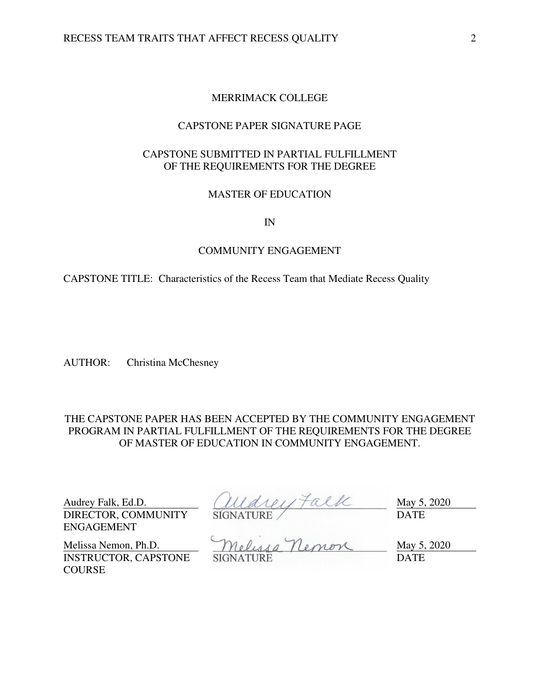## MERRIMACK COLLEGE

## CAPSTONE PAPER SIGNATURE PAGE

# CAPSTONE SUBMITTED IN PARTIAL FULFILLMENT OF THE REQUIREMENTS FOR THE DEGREE

## MASTER OF EDUCATION

IN

#### COMMUNITY ENGAGEMENT

CAPSTONE TITLE: Characteristics of the Recess Team that Mediate Recess Quality

AUTHOR: Christina McChesney

THE CAPSTONE PAPER HAS BEEN ACCEPTED BY THE COMMUNITY ENGAGEMENT PROGRAM IN PARTIAL FULFILLMENT OF THE REQUIREMENTS FOR THE DEGREE OF MASTER OF EDUCATION IN COMMUNITY ENGAGEMENT.

DIRECTOR, COMMUNITY ENGAGEMENT

Audrey Falk, Ed.D.  $(11241) \uparrow \alpha$  ( $\alpha$ SIGNATURE / DATE

INSTRUCTOR, CAPSTONE **COURSE** 

Melissa Nemon, Ph.D. Melussa Nemon May 5, 2020 SIGNATURE DATE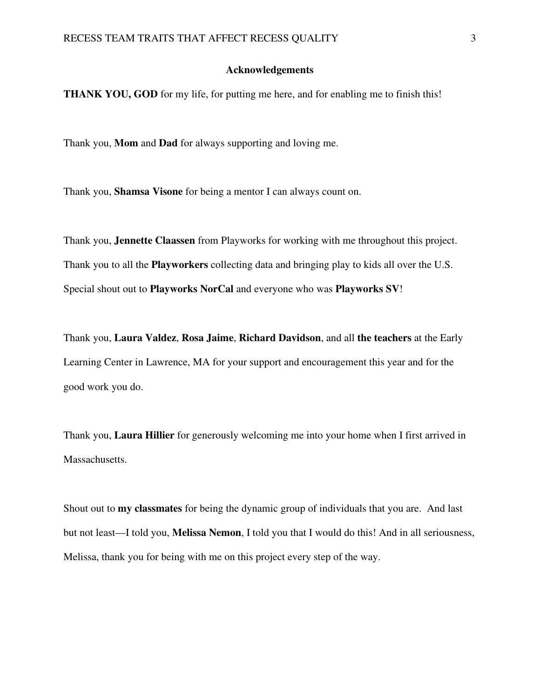### **Acknowledgements**

**THANK YOU, GOD** for my life, for putting me here, and for enabling me to finish this!

Thank you, **Mom** and **Dad** for always supporting and loving me.

Thank you, **Shamsa Visone** for being a mentor I can always count on.

Thank you, **Jennette Claassen** from Playworks for working with me throughout this project. Thank you to all the **Playworkers** collecting data and bringing play to kids all over the U.S. Special shout out to **Playworks NorCal** and everyone who was **Playworks SV**!

Thank you, **Laura Valdez**, **Rosa Jaime**, **Richard Davidson**, and all **the teachers** at the Early Learning Center in Lawrence, MA for your support and encouragement this year and for the good work you do.

Thank you, **Laura Hillier** for generously welcoming me into your home when I first arrived in Massachusetts.

Shout out to **my classmates** for being the dynamic group of individuals that you are. And last but not least—I told you, **Melissa Nemon**, I told you that I would do this! And in all seriousness, Melissa, thank you for being with me on this project every step of the way.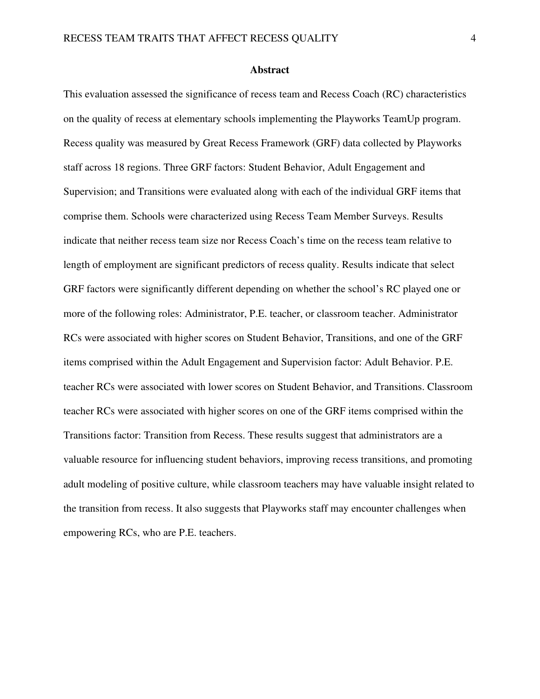#### **Abstract**

This evaluation assessed the significance of recess team and Recess Coach (RC) characteristics on the quality of recess at elementary schools implementing the Playworks TeamUp program. Recess quality was measured by Great Recess Framework (GRF) data collected by Playworks staff across 18 regions. Three GRF factors: Student Behavior, Adult Engagement and Supervision; and Transitions were evaluated along with each of the individual GRF items that comprise them. Schools were characterized using Recess Team Member Surveys. Results indicate that neither recess team size nor Recess Coach's time on the recess team relative to length of employment are significant predictors of recess quality. Results indicate that select GRF factors were significantly different depending on whether the school's RC played one or more of the following roles: Administrator, P.E. teacher, or classroom teacher. Administrator RCs were associated with higher scores on Student Behavior, Transitions, and one of the GRF items comprised within the Adult Engagement and Supervision factor: Adult Behavior. P.E. teacher RCs were associated with lower scores on Student Behavior, and Transitions. Classroom teacher RCs were associated with higher scores on one of the GRF items comprised within the Transitions factor: Transition from Recess. These results suggest that administrators are a valuable resource for influencing student behaviors, improving recess transitions, and promoting adult modeling of positive culture, while classroom teachers may have valuable insight related to the transition from recess. It also suggests that Playworks staff may encounter challenges when empowering RCs, who are P.E. teachers.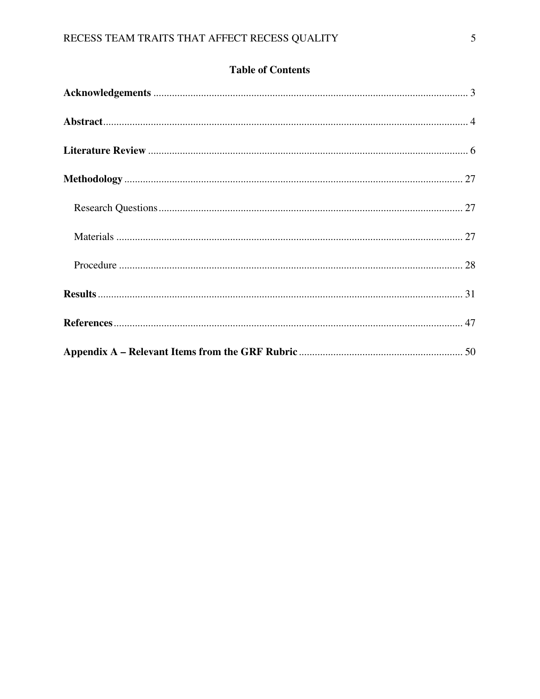|  | <b>Table of Contents</b> |
|--|--------------------------|
|--|--------------------------|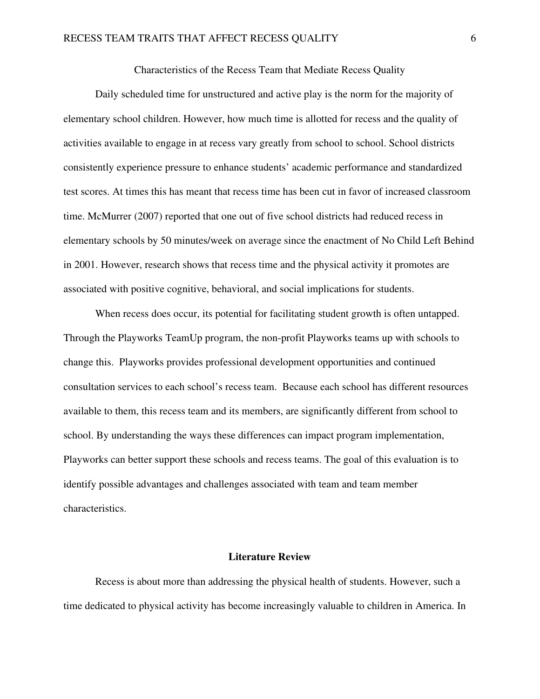### Characteristics of the Recess Team that Mediate Recess Quality

Daily scheduled time for unstructured and active play is the norm for the majority of elementary school children. However, how much time is allotted for recess and the quality of activities available to engage in at recess vary greatly from school to school. School districts consistently experience pressure to enhance students' academic performance and standardized test scores. At times this has meant that recess time has been cut in favor of increased classroom time. McMurrer (2007) reported that one out of five school districts had reduced recess in elementary schools by 50 minutes/week on average since the enactment of No Child Left Behind in 2001. However, research shows that recess time and the physical activity it promotes are associated with positive cognitive, behavioral, and social implications for students.

When recess does occur, its potential for facilitating student growth is often untapped. Through the Playworks TeamUp program, the non-profit Playworks teams up with schools to change this. Playworks provides professional development opportunities and continued consultation services to each school's recess team. Because each school has different resources available to them, this recess team and its members, are significantly different from school to school. By understanding the ways these differences can impact program implementation, Playworks can better support these schools and recess teams. The goal of this evaluation is to identify possible advantages and challenges associated with team and team member characteristics.

#### **Literature Review**

Recess is about more than addressing the physical health of students. However, such a time dedicated to physical activity has become increasingly valuable to children in America. In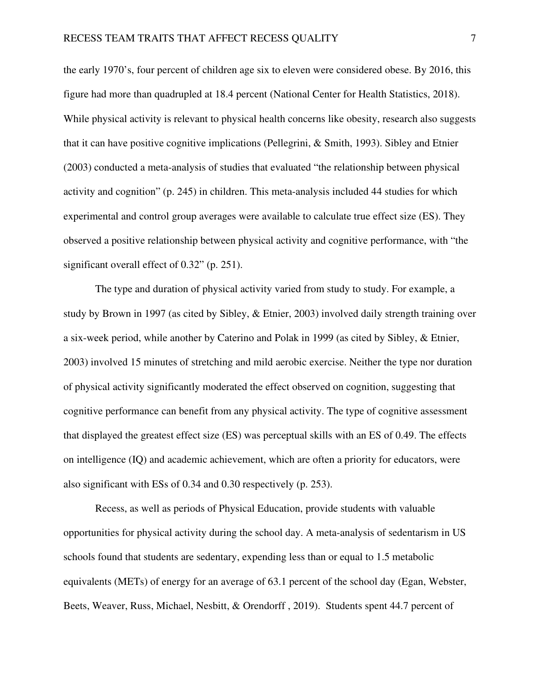the early 1970's, four percent of children age six to eleven were considered obese. By 2016, this figure had more than quadrupled at 18.4 percent (National Center for Health Statistics, 2018). While physical activity is relevant to physical health concerns like obesity, research also suggests that it can have positive cognitive implications (Pellegrini, & Smith, 1993). Sibley and Etnier (2003) conducted a meta-analysis of studies that evaluated "the relationship between physical activity and cognition" (p. 245) in children. This meta-analysis included 44 studies for which experimental and control group averages were available to calculate true effect size (ES). They observed a positive relationship between physical activity and cognitive performance, with "the significant overall effect of 0.32" (p. 251).

The type and duration of physical activity varied from study to study. For example, a study by Brown in 1997 (as cited by Sibley, & Etnier, 2003) involved daily strength training over a six-week period, while another by Caterino and Polak in 1999 (as cited by Sibley, & Etnier, 2003) involved 15 minutes of stretching and mild aerobic exercise. Neither the type nor duration of physical activity significantly moderated the effect observed on cognition, suggesting that cognitive performance can benefit from any physical activity. The type of cognitive assessment that displayed the greatest effect size (ES) was perceptual skills with an ES of 0.49. The effects on intelligence (IQ) and academic achievement, which are often a priority for educators, were also significant with ESs of 0.34 and 0.30 respectively (p. 253).

Recess, as well as periods of Physical Education, provide students with valuable opportunities for physical activity during the school day. A meta-analysis of sedentarism in US schools found that students are sedentary, expending less than or equal to 1.5 metabolic equivalents (METs) of energy for an average of 63.1 percent of the school day (Egan, Webster, Beets, Weaver, Russ, Michael, Nesbitt, & Orendorff , 2019). Students spent 44.7 percent of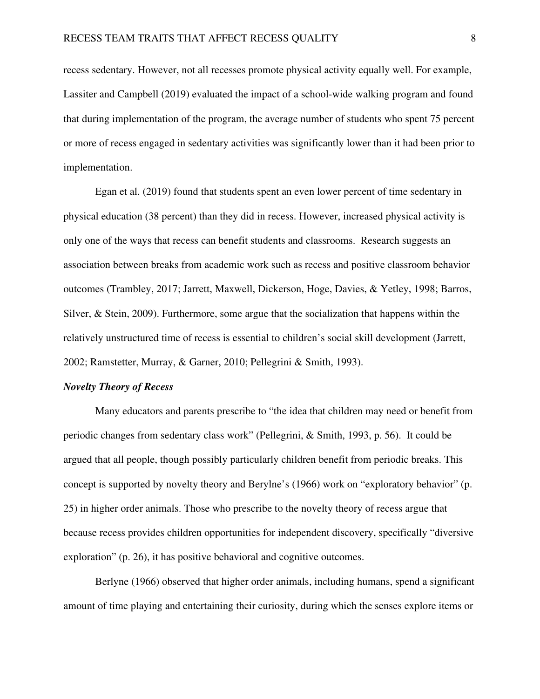recess sedentary. However, not all recesses promote physical activity equally well. For example, Lassiter and Campbell (2019) evaluated the impact of a school-wide walking program and found that during implementation of the program, the average number of students who spent 75 percent or more of recess engaged in sedentary activities was significantly lower than it had been prior to implementation.

Egan et al. (2019) found that students spent an even lower percent of time sedentary in physical education (38 percent) than they did in recess. However, increased physical activity is only one of the ways that recess can benefit students and classrooms. Research suggests an association between breaks from academic work such as recess and positive classroom behavior outcomes (Trambley, 2017; Jarrett, Maxwell, Dickerson, Hoge, Davies, & Yetley, 1998; Barros, Silver, & Stein, 2009). Furthermore, some argue that the socialization that happens within the relatively unstructured time of recess is essential to children's social skill development (Jarrett, 2002; Ramstetter, Murray, & Garner, 2010; Pellegrini & Smith, 1993).

#### *Novelty Theory of Recess*

Many educators and parents prescribe to "the idea that children may need or benefit from periodic changes from sedentary class work" (Pellegrini, & Smith, 1993, p. 56). It could be argued that all people, though possibly particularly children benefit from periodic breaks. This concept is supported by novelty theory and Berylne's (1966) work on "exploratory behavior" (p. 25) in higher order animals. Those who prescribe to the novelty theory of recess argue that because recess provides children opportunities for independent discovery, specifically "diversive exploration" (p. 26), it has positive behavioral and cognitive outcomes.

Berlyne (1966) observed that higher order animals, including humans, spend a significant amount of time playing and entertaining their curiosity, during which the senses explore items or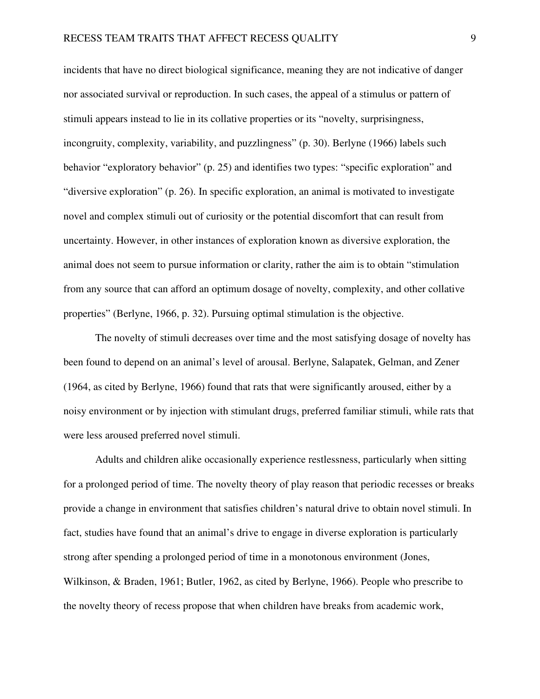incidents that have no direct biological significance, meaning they are not indicative of danger nor associated survival or reproduction. In such cases, the appeal of a stimulus or pattern of stimuli appears instead to lie in its collative properties or its "novelty, surprisingness, incongruity, complexity, variability, and puzzlingness" (p. 30). Berlyne (1966) labels such behavior "exploratory behavior" (p. 25) and identifies two types: "specific exploration" and "diversive exploration" (p. 26). In specific exploration, an animal is motivated to investigate novel and complex stimuli out of curiosity or the potential discomfort that can result from uncertainty. However, in other instances of exploration known as diversive exploration, the animal does not seem to pursue information or clarity, rather the aim is to obtain "stimulation from any source that can afford an optimum dosage of novelty, complexity, and other collative properties" (Berlyne, 1966, p. 32). Pursuing optimal stimulation is the objective.

The novelty of stimuli decreases over time and the most satisfying dosage of novelty has been found to depend on an animal's level of arousal. Berlyne, Salapatek, Gelman, and Zener (1964, as cited by Berlyne, 1966) found that rats that were significantly aroused, either by a noisy environment or by injection with stimulant drugs, preferred familiar stimuli, while rats that were less aroused preferred novel stimuli.

Adults and children alike occasionally experience restlessness, particularly when sitting for a prolonged period of time. The novelty theory of play reason that periodic recesses or breaks provide a change in environment that satisfies children's natural drive to obtain novel stimuli. In fact, studies have found that an animal's drive to engage in diverse exploration is particularly strong after spending a prolonged period of time in a monotonous environment (Jones, Wilkinson, & Braden, 1961; Butler, 1962, as cited by Berlyne, 1966). People who prescribe to the novelty theory of recess propose that when children have breaks from academic work,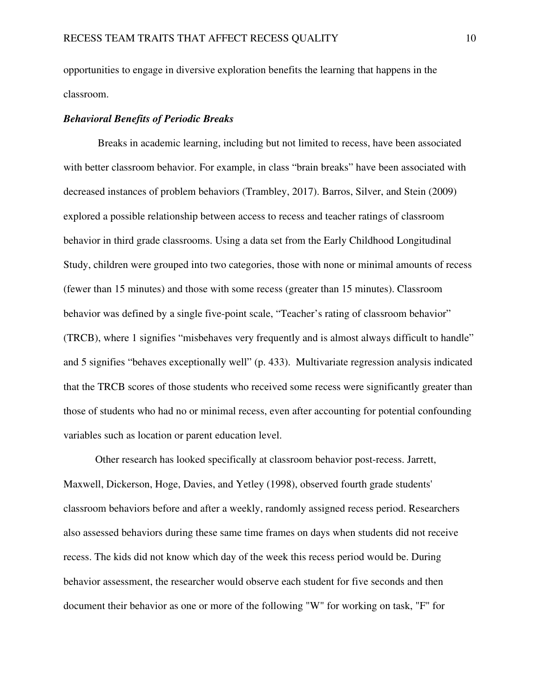opportunities to engage in diversive exploration benefits the learning that happens in the classroom.

### *Behavioral Benefits of Periodic Breaks*

 Breaks in academic learning, including but not limited to recess, have been associated with better classroom behavior. For example, in class "brain breaks" have been associated with decreased instances of problem behaviors (Trambley, 2017). Barros, Silver, and Stein (2009) explored a possible relationship between access to recess and teacher ratings of classroom behavior in third grade classrooms. Using a data set from the Early Childhood Longitudinal Study, children were grouped into two categories, those with none or minimal amounts of recess (fewer than 15 minutes) and those with some recess (greater than 15 minutes). Classroom behavior was defined by a single five-point scale, "Teacher's rating of classroom behavior" (TRCB), where 1 signifies "misbehaves very frequently and is almost always difficult to handle" and 5 signifies "behaves exceptionally well" (p. 433). Multivariate regression analysis indicated that the TRCB scores of those students who received some recess were significantly greater than those of students who had no or minimal recess, even after accounting for potential confounding variables such as location or parent education level.

Other research has looked specifically at classroom behavior post-recess. Jarrett, Maxwell, Dickerson, Hoge, Davies, and Yetley (1998), observed fourth grade students' classroom behaviors before and after a weekly, randomly assigned recess period. Researchers also assessed behaviors during these same time frames on days when students did not receive recess. The kids did not know which day of the week this recess period would be. During behavior assessment, the researcher would observe each student for five seconds and then document their behavior as one or more of the following "W" for working on task, "F" for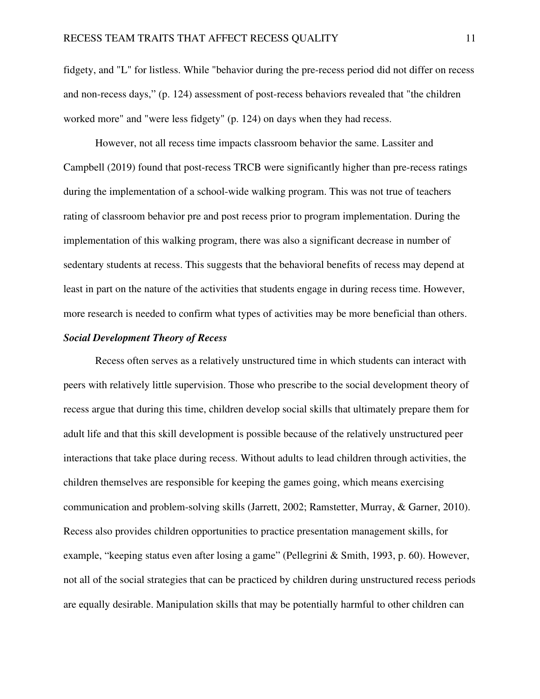fidgety, and "L" for listless. While "behavior during the pre-recess period did not differ on recess and non-recess days," (p. 124) assessment of post-recess behaviors revealed that "the children worked more" and "were less fidgety" (p. 124) on days when they had recess.

However, not all recess time impacts classroom behavior the same. Lassiter and Campbell (2019) found that post-recess TRCB were significantly higher than pre-recess ratings during the implementation of a school-wide walking program. This was not true of teachers rating of classroom behavior pre and post recess prior to program implementation. During the implementation of this walking program, there was also a significant decrease in number of sedentary students at recess. This suggests that the behavioral benefits of recess may depend at least in part on the nature of the activities that students engage in during recess time. However, more research is needed to confirm what types of activities may be more beneficial than others.

## *Social Development Theory of Recess*

Recess often serves as a relatively unstructured time in which students can interact with peers with relatively little supervision. Those who prescribe to the social development theory of recess argue that during this time, children develop social skills that ultimately prepare them for adult life and that this skill development is possible because of the relatively unstructured peer interactions that take place during recess. Without adults to lead children through activities, the children themselves are responsible for keeping the games going, which means exercising communication and problem-solving skills (Jarrett, 2002; Ramstetter, Murray, & Garner, 2010). Recess also provides children opportunities to practice presentation management skills, for example, "keeping status even after losing a game" (Pellegrini & Smith, 1993, p. 60). However, not all of the social strategies that can be practiced by children during unstructured recess periods are equally desirable. Manipulation skills that may be potentially harmful to other children can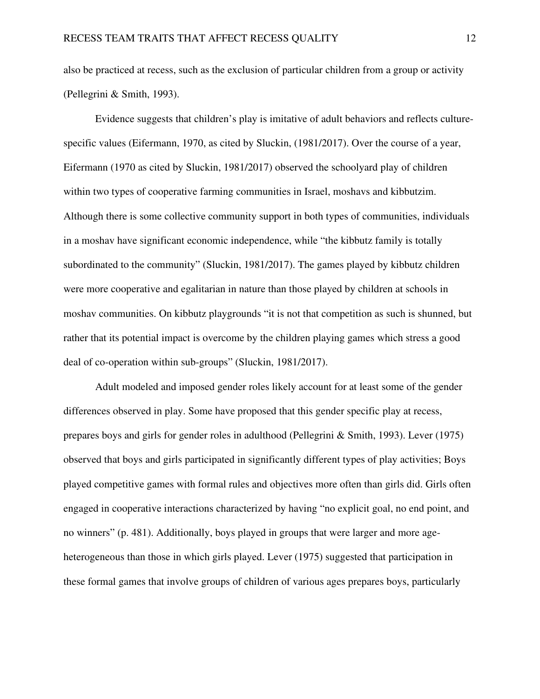also be practiced at recess, such as the exclusion of particular children from a group or activity (Pellegrini & Smith, 1993).

Evidence suggests that children's play is imitative of adult behaviors and reflects culturespecific values (Eifermann, 1970, as cited by Sluckin, (1981/2017). Over the course of a year, Eifermann (1970 as cited by Sluckin, 1981/2017) observed the schoolyard play of children within two types of cooperative farming communities in Israel, moshavs and kibbutzim. Although there is some collective community support in both types of communities, individuals in a moshav have significant economic independence, while "the kibbutz family is totally subordinated to the community" (Sluckin, 1981/2017). The games played by kibbutz children were more cooperative and egalitarian in nature than those played by children at schools in moshav communities. On kibbutz playgrounds "it is not that competition as such is shunned, but rather that its potential impact is overcome by the children playing games which stress a good deal of co-operation within sub-groups" (Sluckin, 1981/2017).

Adult modeled and imposed gender roles likely account for at least some of the gender differences observed in play. Some have proposed that this gender specific play at recess, prepares boys and girls for gender roles in adulthood (Pellegrini & Smith, 1993). Lever (1975) observed that boys and girls participated in significantly different types of play activities; Boys played competitive games with formal rules and objectives more often than girls did. Girls often engaged in cooperative interactions characterized by having "no explicit goal, no end point, and no winners" (p. 481). Additionally, boys played in groups that were larger and more ageheterogeneous than those in which girls played. Lever (1975) suggested that participation in these formal games that involve groups of children of various ages prepares boys, particularly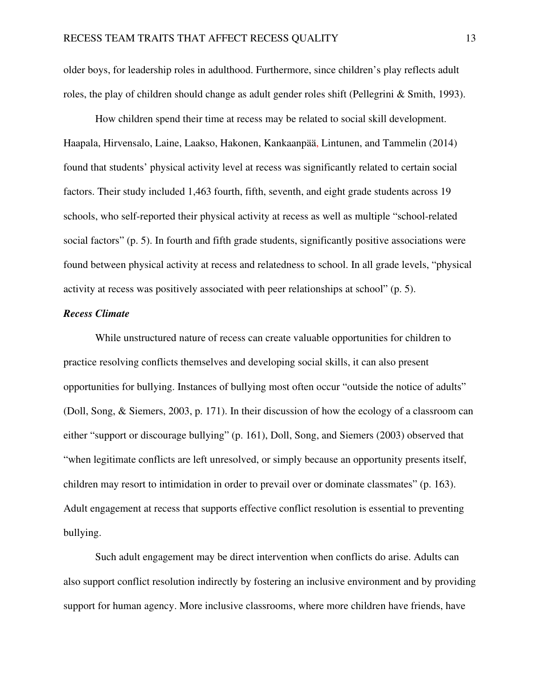older boys, for leadership roles in adulthood. Furthermore, since children's play reflects adult roles, the play of children should change as adult gender roles shift (Pellegrini & Smith, 1993).

How children spend their time at recess may be related to social skill development. Haapala, Hirvensalo, Laine, Laakso, Hakonen, Kankaanpää, Lintunen, and Tammelin (2014) found that students' physical activity level at recess was significantly related to certain social factors. Their study included 1,463 fourth, fifth, seventh, and eight grade students across 19 schools, who self-reported their physical activity at recess as well as multiple "school-related social factors" (p. 5). In fourth and fifth grade students, significantly positive associations were found between physical activity at recess and relatedness to school. In all grade levels, "physical activity at recess was positively associated with peer relationships at school" (p. 5).

### *Recess Climate*

While unstructured nature of recess can create valuable opportunities for children to practice resolving conflicts themselves and developing social skills, it can also present opportunities for bullying. Instances of bullying most often occur "outside the notice of adults" (Doll, Song, & Siemers, 2003, p. 171). In their discussion of how the ecology of a classroom can either "support or discourage bullying" (p. 161), Doll, Song, and Siemers (2003) observed that "when legitimate conflicts are left unresolved, or simply because an opportunity presents itself, children may resort to intimidation in order to prevail over or dominate classmates" (p. 163). Adult engagement at recess that supports effective conflict resolution is essential to preventing bullying.

Such adult engagement may be direct intervention when conflicts do arise. Adults can also support conflict resolution indirectly by fostering an inclusive environment and by providing support for human agency. More inclusive classrooms, where more children have friends, have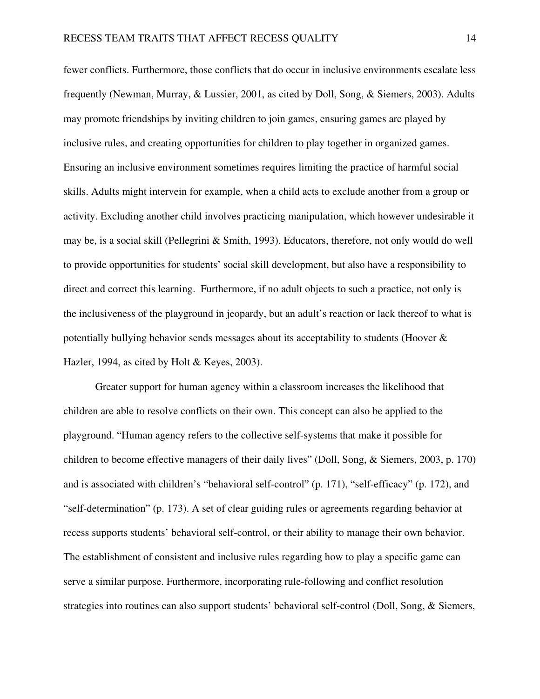fewer conflicts. Furthermore, those conflicts that do occur in inclusive environments escalate less frequently (Newman, Murray, & Lussier, 2001, as cited by Doll, Song, & Siemers, 2003). Adults may promote friendships by inviting children to join games, ensuring games are played by inclusive rules, and creating opportunities for children to play together in organized games. Ensuring an inclusive environment sometimes requires limiting the practice of harmful social skills. Adults might intervein for example, when a child acts to exclude another from a group or activity. Excluding another child involves practicing manipulation, which however undesirable it may be, is a social skill (Pellegrini & Smith, 1993). Educators, therefore, not only would do well to provide opportunities for students' social skill development, but also have a responsibility to direct and correct this learning. Furthermore, if no adult objects to such a practice, not only is the inclusiveness of the playground in jeopardy, but an adult's reaction or lack thereof to what is potentially bullying behavior sends messages about its acceptability to students (Hoover & Hazler, 1994, as cited by Holt & Keyes, 2003).

Greater support for human agency within a classroom increases the likelihood that children are able to resolve conflicts on their own. This concept can also be applied to the playground. "Human agency refers to the collective self-systems that make it possible for children to become effective managers of their daily lives" (Doll, Song, & Siemers, 2003, p. 170) and is associated with children's "behavioral self-control" (p. 171), "self-efficacy" (p. 172), and "self-determination" (p. 173). A set of clear guiding rules or agreements regarding behavior at recess supports students' behavioral self-control, or their ability to manage their own behavior. The establishment of consistent and inclusive rules regarding how to play a specific game can serve a similar purpose. Furthermore, incorporating rule-following and conflict resolution strategies into routines can also support students' behavioral self-control (Doll, Song, & Siemers,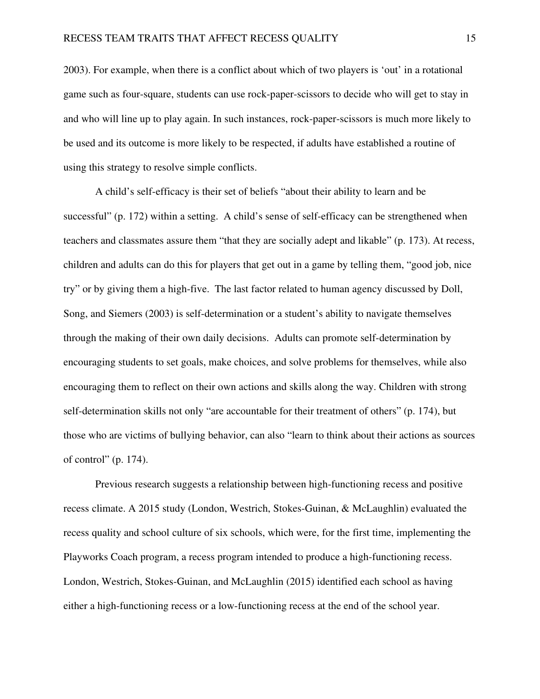2003). For example, when there is a conflict about which of two players is 'out' in a rotational game such as four-square, students can use rock-paper-scissors to decide who will get to stay in and who will line up to play again. In such instances, rock-paper-scissors is much more likely to be used and its outcome is more likely to be respected, if adults have established a routine of using this strategy to resolve simple conflicts.

A child's self-efficacy is their set of beliefs "about their ability to learn and be successful" (p. 172) within a setting. A child's sense of self-efficacy can be strengthened when teachers and classmates assure them "that they are socially adept and likable" (p. 173). At recess, children and adults can do this for players that get out in a game by telling them, "good job, nice try" or by giving them a high-five. The last factor related to human agency discussed by Doll, Song, and Siemers (2003) is self-determination or a student's ability to navigate themselves through the making of their own daily decisions. Adults can promote self-determination by encouraging students to set goals, make choices, and solve problems for themselves, while also encouraging them to reflect on their own actions and skills along the way. Children with strong self-determination skills not only "are accountable for their treatment of others" (p. 174), but those who are victims of bullying behavior, can also "learn to think about their actions as sources of control" (p. 174).

Previous research suggests a relationship between high-functioning recess and positive recess climate. A 2015 study (London, Westrich, Stokes-Guinan, & McLaughlin) evaluated the recess quality and school culture of six schools, which were, for the first time, implementing the Playworks Coach program, a recess program intended to produce a high-functioning recess. London, Westrich, Stokes-Guinan, and McLaughlin (2015) identified each school as having either a high-functioning recess or a low-functioning recess at the end of the school year.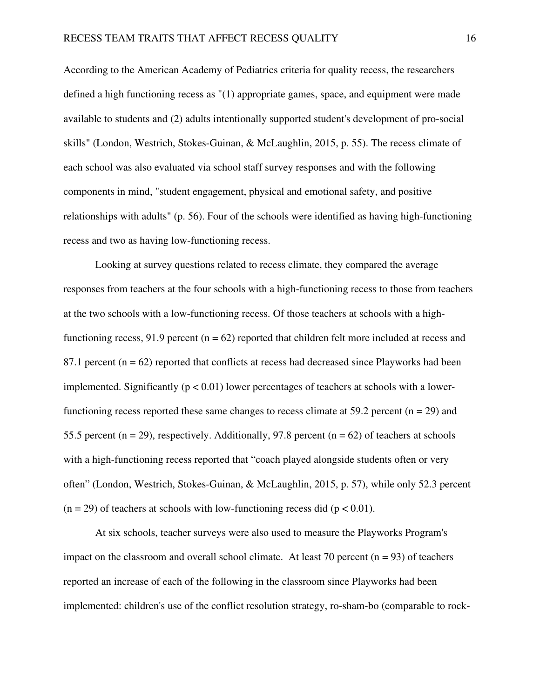According to the American Academy of Pediatrics criteria for quality recess, the researchers defined a high functioning recess as "(1) appropriate games, space, and equipment were made available to students and (2) adults intentionally supported student's development of pro-social skills" (London, Westrich, Stokes-Guinan, & McLaughlin, 2015, p. 55). The recess climate of each school was also evaluated via school staff survey responses and with the following components in mind, "student engagement, physical and emotional safety, and positive relationships with adults" (p. 56). Four of the schools were identified as having high-functioning recess and two as having low-functioning recess.

Looking at survey questions related to recess climate, they compared the average responses from teachers at the four schools with a high-functioning recess to those from teachers at the two schools with a low-functioning recess. Of those teachers at schools with a highfunctioning recess, 91.9 percent ( $n = 62$ ) reported that children felt more included at recess and 87.1 percent  $(n = 62)$  reported that conflicts at recess had decreased since Playworks had been implemented. Significantly ( $p < 0.01$ ) lower percentages of teachers at schools with a lowerfunctioning recess reported these same changes to recess climate at 59.2 percent ( $n = 29$ ) and 55.5 percent ( $n = 29$ ), respectively. Additionally, 97.8 percent ( $n = 62$ ) of teachers at schools with a high-functioning recess reported that "coach played alongside students often or very often" (London, Westrich, Stokes-Guinan, & McLaughlin, 2015, p. 57), while only 52.3 percent  $(n = 29)$  of teachers at schools with low-functioning recess did  $(p < 0.01)$ .

 At six schools, teacher surveys were also used to measure the Playworks Program's impact on the classroom and overall school climate. At least 70 percent  $(n = 93)$  of teachers reported an increase of each of the following in the classroom since Playworks had been implemented: children's use of the conflict resolution strategy, ro-sham-bo (comparable to rock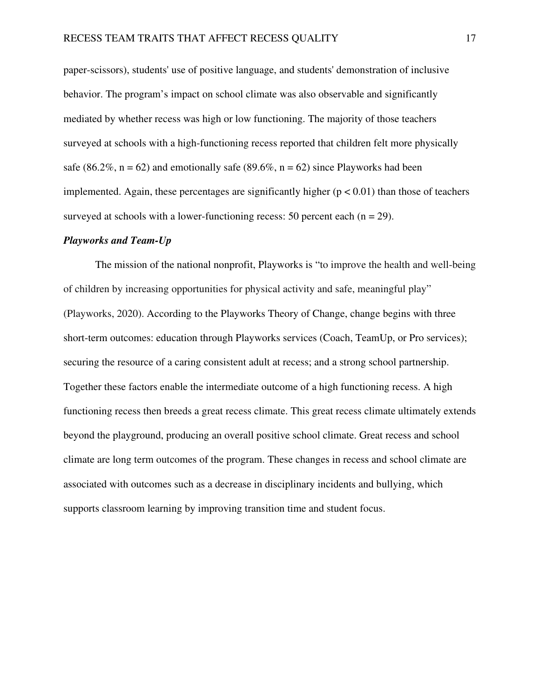paper-scissors), students' use of positive language, and students' demonstration of inclusive behavior. The program's impact on school climate was also observable and significantly mediated by whether recess was high or low functioning. The majority of those teachers surveyed at schools with a high-functioning recess reported that children felt more physically safe (86.2%,  $n = 62$ ) and emotionally safe (89.6%,  $n = 62$ ) since Playworks had been implemented. Again, these percentages are significantly higher  $(p < 0.01)$  than those of teachers surveyed at schools with a lower-functioning recess: 50 percent each  $(n = 29)$ .

#### *Playworks and Team-Up*

The mission of the national nonprofit, Playworks is "to improve the health and well-being of children by increasing opportunities for physical activity and safe, meaningful play" (Playworks, 2020). According to the Playworks Theory of Change, change begins with three short-term outcomes: education through Playworks services (Coach, TeamUp, or Pro services); securing the resource of a caring consistent adult at recess; and a strong school partnership. Together these factors enable the intermediate outcome of a high functioning recess. A high functioning recess then breeds a great recess climate. This great recess climate ultimately extends beyond the playground, producing an overall positive school climate. Great recess and school climate are long term outcomes of the program. These changes in recess and school climate are associated with outcomes such as a decrease in disciplinary incidents and bullying, which supports classroom learning by improving transition time and student focus.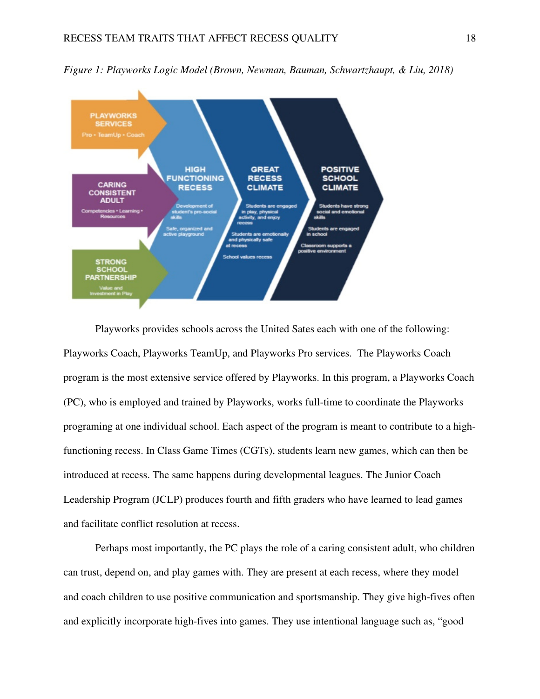

*Figure 1: Playworks Logic Model (Brown, Newman, Bauman, Schwartzhaupt, & Liu, 2018)*

Playworks provides schools across the United Sates each with one of the following: Playworks Coach, Playworks TeamUp, and Playworks Pro services. The Playworks Coach program is the most extensive service offered by Playworks. In this program, a Playworks Coach (PC), who is employed and trained by Playworks, works full-time to coordinate the Playworks programing at one individual school. Each aspect of the program is meant to contribute to a highfunctioning recess. In Class Game Times (CGTs), students learn new games, which can then be introduced at recess. The same happens during developmental leagues. The Junior Coach Leadership Program (JCLP) produces fourth and fifth graders who have learned to lead games and facilitate conflict resolution at recess.

Perhaps most importantly, the PC plays the role of a caring consistent adult, who children can trust, depend on, and play games with. They are present at each recess, where they model and coach children to use positive communication and sportsmanship. They give high-fives often and explicitly incorporate high-fives into games. They use intentional language such as, "good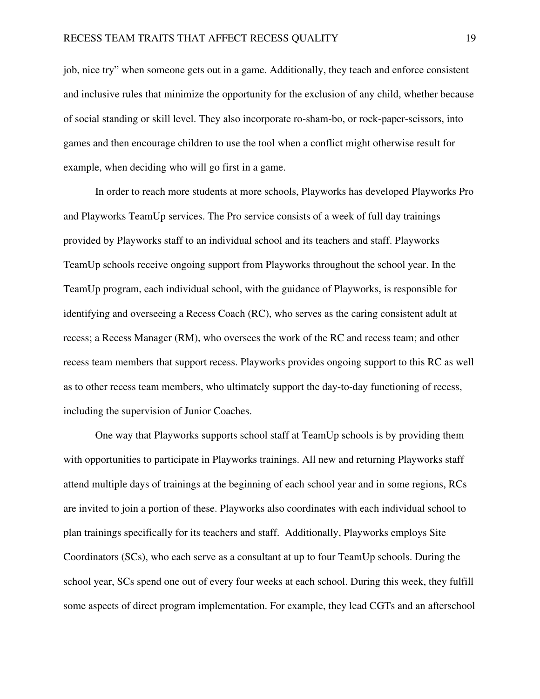job, nice try" when someone gets out in a game. Additionally, they teach and enforce consistent and inclusive rules that minimize the opportunity for the exclusion of any child, whether because of social standing or skill level. They also incorporate ro-sham-bo, or rock-paper-scissors, into games and then encourage children to use the tool when a conflict might otherwise result for example, when deciding who will go first in a game.

In order to reach more students at more schools, Playworks has developed Playworks Pro and Playworks TeamUp services. The Pro service consists of a week of full day trainings provided by Playworks staff to an individual school and its teachers and staff. Playworks TeamUp schools receive ongoing support from Playworks throughout the school year. In the TeamUp program, each individual school, with the guidance of Playworks, is responsible for identifying and overseeing a Recess Coach (RC), who serves as the caring consistent adult at recess; a Recess Manager (RM), who oversees the work of the RC and recess team; and other recess team members that support recess. Playworks provides ongoing support to this RC as well as to other recess team members, who ultimately support the day-to-day functioning of recess, including the supervision of Junior Coaches.

One way that Playworks supports school staff at TeamUp schools is by providing them with opportunities to participate in Playworks trainings. All new and returning Playworks staff attend multiple days of trainings at the beginning of each school year and in some regions, RCs are invited to join a portion of these. Playworks also coordinates with each individual school to plan trainings specifically for its teachers and staff. Additionally, Playworks employs Site Coordinators (SCs), who each serve as a consultant at up to four TeamUp schools. During the school year, SCs spend one out of every four weeks at each school. During this week, they fulfill some aspects of direct program implementation. For example, they lead CGTs and an afterschool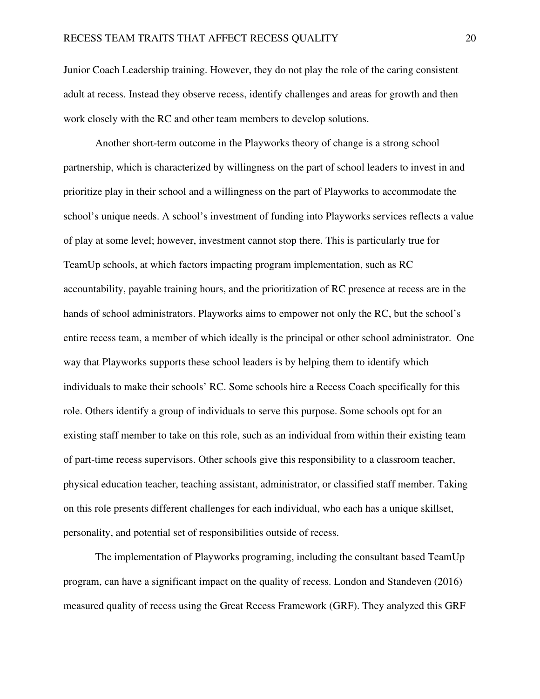Junior Coach Leadership training. However, they do not play the role of the caring consistent adult at recess. Instead they observe recess, identify challenges and areas for growth and then work closely with the RC and other team members to develop solutions.

Another short-term outcome in the Playworks theory of change is a strong school partnership, which is characterized by willingness on the part of school leaders to invest in and prioritize play in their school and a willingness on the part of Playworks to accommodate the school's unique needs. A school's investment of funding into Playworks services reflects a value of play at some level; however, investment cannot stop there. This is particularly true for TeamUp schools, at which factors impacting program implementation, such as RC accountability, payable training hours, and the prioritization of RC presence at recess are in the hands of school administrators. Playworks aims to empower not only the RC, but the school's entire recess team, a member of which ideally is the principal or other school administrator. One way that Playworks supports these school leaders is by helping them to identify which individuals to make their schools' RC. Some schools hire a Recess Coach specifically for this role. Others identify a group of individuals to serve this purpose. Some schools opt for an existing staff member to take on this role, such as an individual from within their existing team of part-time recess supervisors. Other schools give this responsibility to a classroom teacher, physical education teacher, teaching assistant, administrator, or classified staff member. Taking on this role presents different challenges for each individual, who each has a unique skillset, personality, and potential set of responsibilities outside of recess.

The implementation of Playworks programing, including the consultant based TeamUp program, can have a significant impact on the quality of recess. London and Standeven (2016) measured quality of recess using the Great Recess Framework (GRF). They analyzed this GRF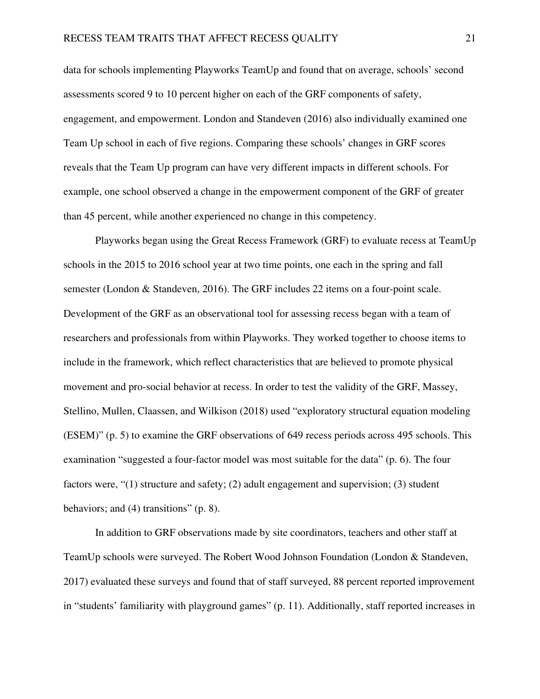data for schools implementing Playworks TeamUp and found that on average, schools' second assessments scored 9 to 10 percent higher on each of the GRF components of safety, engagement, and empowerment. London and Standeven (2016) also individually examined one Team Up school in each of five regions. Comparing these schools' changes in GRF scores reveals that the Team Up program can have very different impacts in different schools. For example, one school observed a change in the empowerment component of the GRF of greater than 45 percent, while another experienced no change in this competency.

Playworks began using the Great Recess Framework (GRF) to evaluate recess at TeamUp schools in the 2015 to 2016 school year at two time points, one each in the spring and fall semester (London & Standeven, 2016). The GRF includes 22 items on a four-point scale. Development of the GRF as an observational tool for assessing recess began with a team of researchers and professionals from within Playworks. They worked together to choose items to include in the framework, which reflect characteristics that are believed to promote physical movement and pro-social behavior at recess. In order to test the validity of the GRF, Massey, Stellino, Mullen, Claassen, and Wilkison (2018) used "exploratory structural equation modeling (ESEM)" (p. 5) to examine the GRF observations of 649 recess periods across 495 schools. This examination "suggested a four-factor model was most suitable for the data" (p. 6). The four factors were, "(1) structure and safety; (2) adult engagement and supervision; (3) student behaviors; and (4) transitions" (p. 8).

In addition to GRF observations made by site coordinators, teachers and other staff at TeamUp schools were surveyed. The Robert Wood Johnson Foundation (London & Standeven, 2017) evaluated these surveys and found that of staff surveyed, 88 percent reported improvement in "students' familiarity with playground games" (p. 11). Additionally, staff reported increases in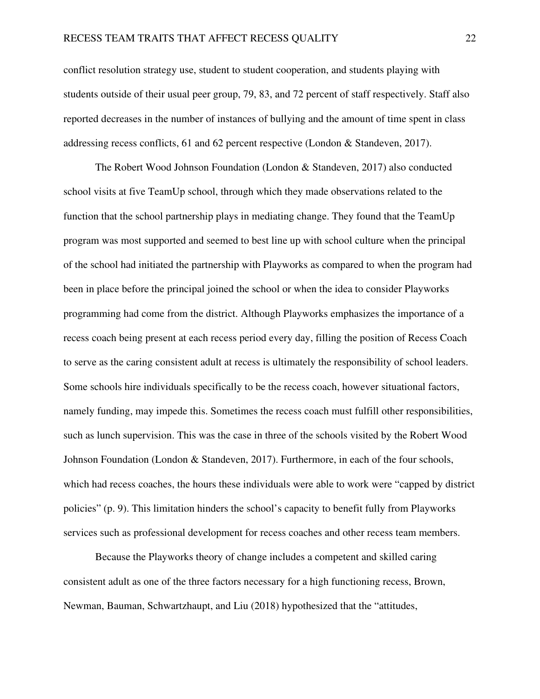conflict resolution strategy use, student to student cooperation, and students playing with students outside of their usual peer group, 79, 83, and 72 percent of staff respectively. Staff also reported decreases in the number of instances of bullying and the amount of time spent in class addressing recess conflicts, 61 and 62 percent respective (London & Standeven, 2017).

The Robert Wood Johnson Foundation (London & Standeven, 2017) also conducted school visits at five TeamUp school, through which they made observations related to the function that the school partnership plays in mediating change. They found that the TeamUp program was most supported and seemed to best line up with school culture when the principal of the school had initiated the partnership with Playworks as compared to when the program had been in place before the principal joined the school or when the idea to consider Playworks programming had come from the district. Although Playworks emphasizes the importance of a recess coach being present at each recess period every day, filling the position of Recess Coach to serve as the caring consistent adult at recess is ultimately the responsibility of school leaders. Some schools hire individuals specifically to be the recess coach, however situational factors, namely funding, may impede this. Sometimes the recess coach must fulfill other responsibilities, such as lunch supervision. This was the case in three of the schools visited by the Robert Wood Johnson Foundation (London & Standeven, 2017). Furthermore, in each of the four schools, which had recess coaches, the hours these individuals were able to work were "capped by district policies" (p. 9). This limitation hinders the school's capacity to benefit fully from Playworks services such as professional development for recess coaches and other recess team members.

Because the Playworks theory of change includes a competent and skilled caring consistent adult as one of the three factors necessary for a high functioning recess, Brown, Newman, Bauman, Schwartzhaupt, and Liu (2018) hypothesized that the "attitudes,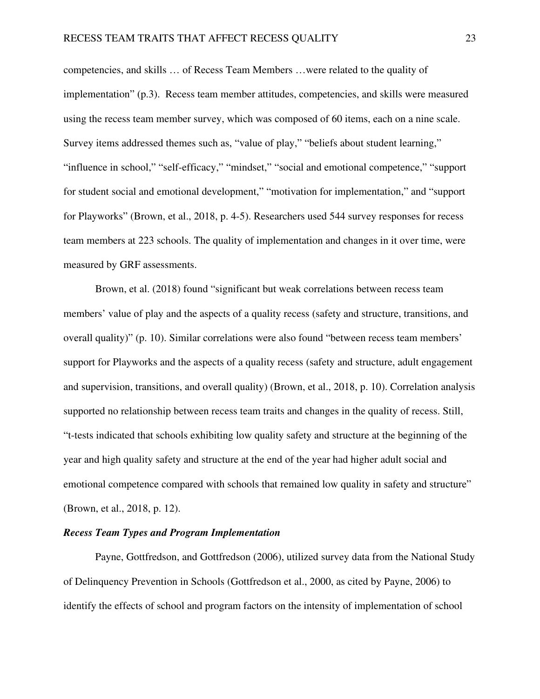competencies, and skills … of Recess Team Members …were related to the quality of implementation" (p.3). Recess team member attitudes, competencies, and skills were measured using the recess team member survey, which was composed of 60 items, each on a nine scale. Survey items addressed themes such as, "value of play," "beliefs about student learning," "influence in school," "self-efficacy," "mindset," "social and emotional competence," "support for student social and emotional development," "motivation for implementation," and "support for Playworks" (Brown, et al., 2018, p. 4-5). Researchers used 544 survey responses for recess team members at 223 schools. The quality of implementation and changes in it over time, were measured by GRF assessments.

 Brown, et al. (2018) found "significant but weak correlations between recess team members' value of play and the aspects of a quality recess (safety and structure, transitions, and overall quality)" (p. 10). Similar correlations were also found "between recess team members' support for Playworks and the aspects of a quality recess (safety and structure, adult engagement and supervision, transitions, and overall quality) (Brown, et al., 2018, p. 10). Correlation analysis supported no relationship between recess team traits and changes in the quality of recess. Still, "t-tests indicated that schools exhibiting low quality safety and structure at the beginning of the year and high quality safety and structure at the end of the year had higher adult social and emotional competence compared with schools that remained low quality in safety and structure" (Brown, et al., 2018, p. 12).

## *Recess Team Types and Program Implementation*

Payne, Gottfredson, and Gottfredson (2006), utilized survey data from the National Study of Delinquency Prevention in Schools (Gottfredson et al., 2000, as cited by Payne, 2006) to identify the effects of school and program factors on the intensity of implementation of school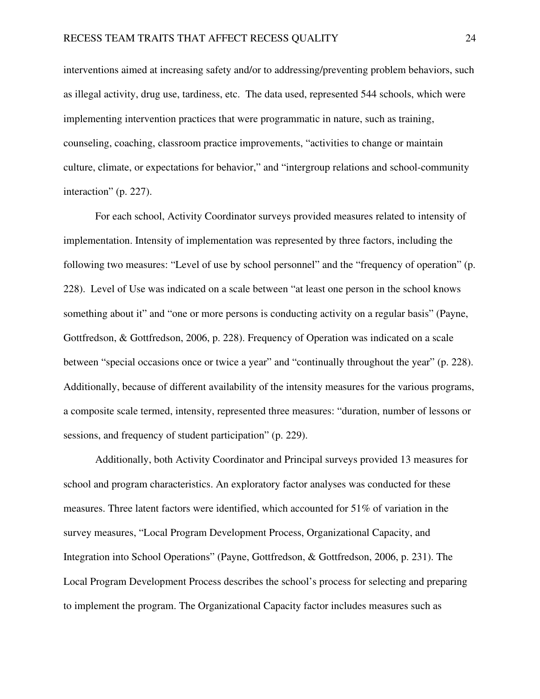interventions aimed at increasing safety and/or to addressing/preventing problem behaviors, such as illegal activity, drug use, tardiness, etc. The data used, represented 544 schools, which were implementing intervention practices that were programmatic in nature, such as training, counseling, coaching, classroom practice improvements, "activities to change or maintain culture, climate, or expectations for behavior," and "intergroup relations and school-community interaction" (p. 227).

For each school, Activity Coordinator surveys provided measures related to intensity of implementation. Intensity of implementation was represented by three factors, including the following two measures: "Level of use by school personnel" and the "frequency of operation" (p. 228). Level of Use was indicated on a scale between "at least one person in the school knows something about it" and "one or more persons is conducting activity on a regular basis" (Payne, Gottfredson, & Gottfredson, 2006, p. 228). Frequency of Operation was indicated on a scale between "special occasions once or twice a year" and "continually throughout the year" (p. 228). Additionally, because of different availability of the intensity measures for the various programs, a composite scale termed, intensity, represented three measures: "duration, number of lessons or sessions, and frequency of student participation" (p. 229).

Additionally, both Activity Coordinator and Principal surveys provided 13 measures for school and program characteristics. An exploratory factor analyses was conducted for these measures. Three latent factors were identified, which accounted for 51% of variation in the survey measures, "Local Program Development Process, Organizational Capacity, and Integration into School Operations" (Payne, Gottfredson, & Gottfredson, 2006, p. 231). The Local Program Development Process describes the school's process for selecting and preparing to implement the program. The Organizational Capacity factor includes measures such as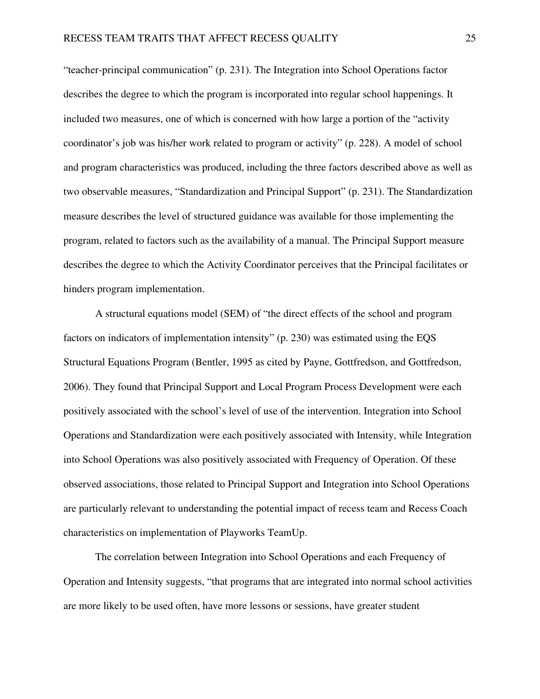"teacher-principal communication" (p. 231). The Integration into School Operations factor describes the degree to which the program is incorporated into regular school happenings. It included two measures, one of which is concerned with how large a portion of the "activity coordinator's job was his/her work related to program or activity" (p. 228). A model of school and program characteristics was produced, including the three factors described above as well as two observable measures, "Standardization and Principal Support" (p. 231). The Standardization measure describes the level of structured guidance was available for those implementing the program, related to factors such as the availability of a manual. The Principal Support measure describes the degree to which the Activity Coordinator perceives that the Principal facilitates or hinders program implementation.

A structural equations model (SEM) of "the direct effects of the school and program factors on indicators of implementation intensity" (p. 230) was estimated using the EQS Structural Equations Program (Bentler, 1995 as cited by Payne, Gottfredson, and Gottfredson, 2006). They found that Principal Support and Local Program Process Development were each positively associated with the school's level of use of the intervention. Integration into School Operations and Standardization were each positively associated with Intensity, while Integration into School Operations was also positively associated with Frequency of Operation. Of these observed associations, those related to Principal Support and Integration into School Operations are particularly relevant to understanding the potential impact of recess team and Recess Coach characteristics on implementation of Playworks TeamUp.

The correlation between Integration into School Operations and each Frequency of Operation and Intensity suggests, "that programs that are integrated into normal school activities are more likely to be used often, have more lessons or sessions, have greater student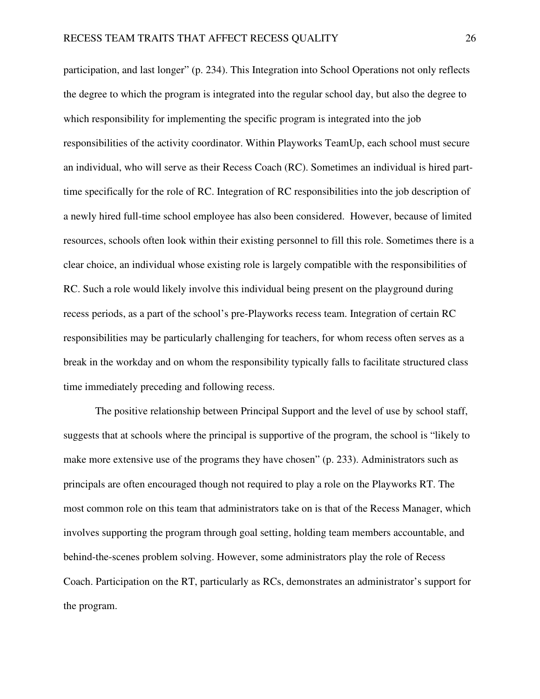participation, and last longer" (p. 234). This Integration into School Operations not only reflects the degree to which the program is integrated into the regular school day, but also the degree to which responsibility for implementing the specific program is integrated into the job responsibilities of the activity coordinator. Within Playworks TeamUp, each school must secure an individual, who will serve as their Recess Coach (RC). Sometimes an individual is hired parttime specifically for the role of RC. Integration of RC responsibilities into the job description of a newly hired full-time school employee has also been considered. However, because of limited resources, schools often look within their existing personnel to fill this role. Sometimes there is a clear choice, an individual whose existing role is largely compatible with the responsibilities of RC. Such a role would likely involve this individual being present on the playground during recess periods, as a part of the school's pre-Playworks recess team. Integration of certain RC responsibilities may be particularly challenging for teachers, for whom recess often serves as a break in the workday and on whom the responsibility typically falls to facilitate structured class time immediately preceding and following recess.

The positive relationship between Principal Support and the level of use by school staff, suggests that at schools where the principal is supportive of the program, the school is "likely to make more extensive use of the programs they have chosen" (p. 233). Administrators such as principals are often encouraged though not required to play a role on the Playworks RT. The most common role on this team that administrators take on is that of the Recess Manager, which involves supporting the program through goal setting, holding team members accountable, and behind-the-scenes problem solving. However, some administrators play the role of Recess Coach. Participation on the RT, particularly as RCs, demonstrates an administrator's support for the program.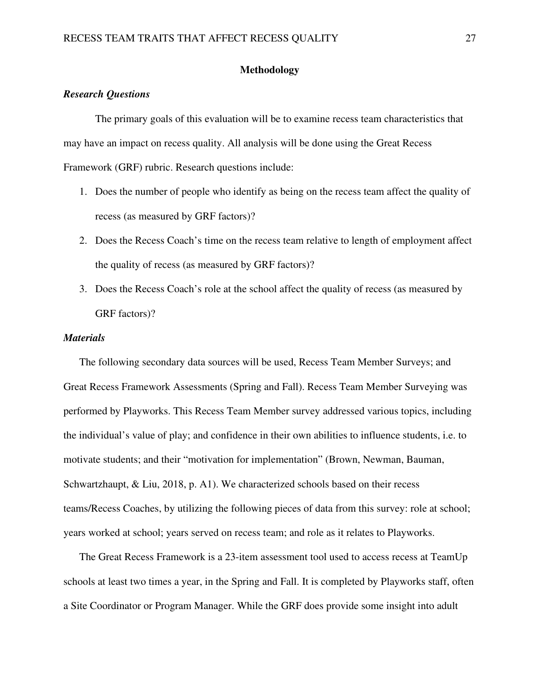## **Methodology**

## *Research Questions*

 The primary goals of this evaluation will be to examine recess team characteristics that may have an impact on recess quality. All analysis will be done using the Great Recess Framework (GRF) rubric. Research questions include:

- 1. Does the number of people who identify as being on the recess team affect the quality of recess (as measured by GRF factors)?
- 2. Does the Recess Coach's time on the recess team relative to length of employment affect the quality of recess (as measured by GRF factors)?
- 3. Does the Recess Coach's role at the school affect the quality of recess (as measured by GRF factors)?

### *Materials*

The following secondary data sources will be used, Recess Team Member Surveys; and Great Recess Framework Assessments (Spring and Fall). Recess Team Member Surveying was performed by Playworks. This Recess Team Member survey addressed various topics, including the individual's value of play; and confidence in their own abilities to influence students, i.e. to motivate students; and their "motivation for implementation" (Brown, Newman, Bauman, Schwartzhaupt, & Liu, 2018, p. A1). We characterized schools based on their recess teams/Recess Coaches, by utilizing the following pieces of data from this survey: role at school; years worked at school; years served on recess team; and role as it relates to Playworks.

The Great Recess Framework is a 23-item assessment tool used to access recess at TeamUp schools at least two times a year, in the Spring and Fall. It is completed by Playworks staff, often a Site Coordinator or Program Manager. While the GRF does provide some insight into adult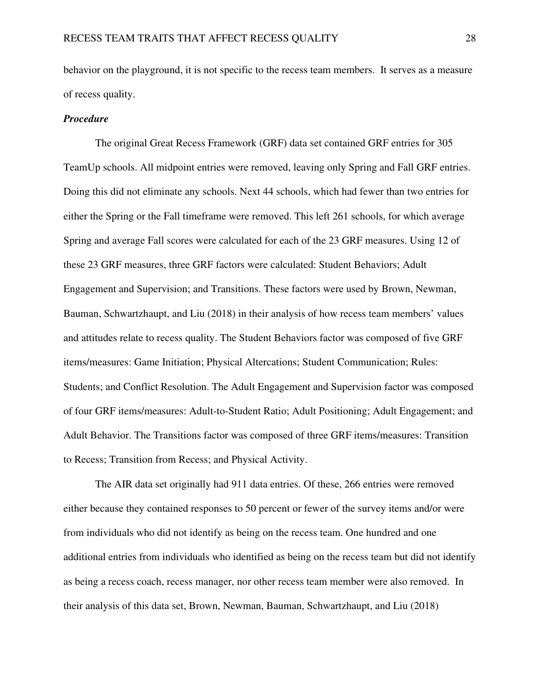behavior on the playground, it is not specific to the recess team members. It serves as a measure of recess quality.

#### *Procedure*

The original Great Recess Framework (GRF) data set contained GRF entries for 305 TeamUp schools. All midpoint entries were removed, leaving only Spring and Fall GRF entries. Doing this did not eliminate any schools. Next 44 schools, which had fewer than two entries for either the Spring or the Fall timeframe were removed. This left 261 schools, for which average Spring and average Fall scores were calculated for each of the 23 GRF measures. Using 12 of these 23 GRF measures, three GRF factors were calculated: Student Behaviors; Adult Engagement and Supervision; and Transitions. These factors were used by Brown, Newman, Bauman, Schwartzhaupt, and Liu (2018) in their analysis of how recess team members' values and attitudes relate to recess quality. The Student Behaviors factor was composed of five GRF items/measures: Game Initiation; Physical Altercations; Student Communication; Rules: Students; and Conflict Resolution. The Adult Engagement and Supervision factor was composed of four GRF items/measures: Adult-to-Student Ratio; Adult Positioning; Adult Engagement; and Adult Behavior. The Transitions factor was composed of three GRF items/measures: Transition to Recess; Transition from Recess; and Physical Activity.

The AIR data set originally had 911 data entries. Of these, 266 entries were removed either because they contained responses to 50 percent or fewer of the survey items and/or were from individuals who did not identify as being on the recess team. One hundred and one additional entries from individuals who identified as being on the recess team but did not identify as being a recess coach, recess manager, nor other recess team member were also removed. In their analysis of this data set, Brown, Newman, Bauman, Schwartzhaupt, and Liu (2018)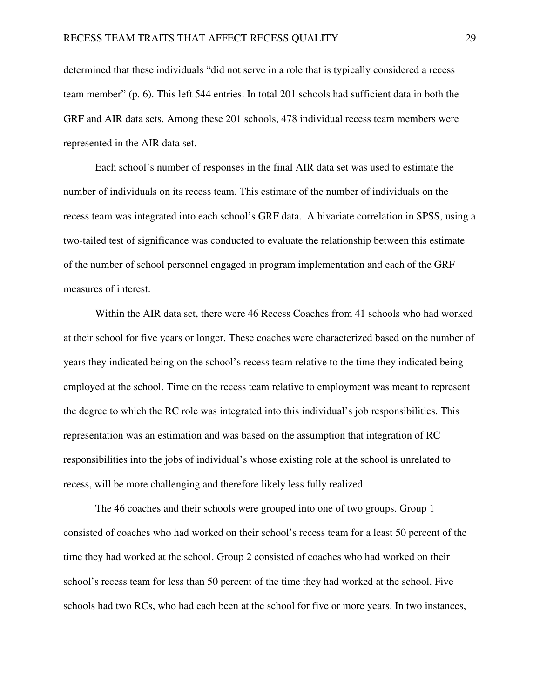determined that these individuals "did not serve in a role that is typically considered a recess team member" (p. 6). This left 544 entries. In total 201 schools had sufficient data in both the GRF and AIR data sets. Among these 201 schools, 478 individual recess team members were represented in the AIR data set.

Each school's number of responses in the final AIR data set was used to estimate the number of individuals on its recess team. This estimate of the number of individuals on the recess team was integrated into each school's GRF data. A bivariate correlation in SPSS, using a two-tailed test of significance was conducted to evaluate the relationship between this estimate of the number of school personnel engaged in program implementation and each of the GRF measures of interest.

Within the AIR data set, there were 46 Recess Coaches from 41 schools who had worked at their school for five years or longer. These coaches were characterized based on the number of years they indicated being on the school's recess team relative to the time they indicated being employed at the school. Time on the recess team relative to employment was meant to represent the degree to which the RC role was integrated into this individual's job responsibilities. This representation was an estimation and was based on the assumption that integration of RC responsibilities into the jobs of individual's whose existing role at the school is unrelated to recess, will be more challenging and therefore likely less fully realized.

The 46 coaches and their schools were grouped into one of two groups. Group 1 consisted of coaches who had worked on their school's recess team for a least 50 percent of the time they had worked at the school. Group 2 consisted of coaches who had worked on their school's recess team for less than 50 percent of the time they had worked at the school. Five schools had two RCs, who had each been at the school for five or more years. In two instances,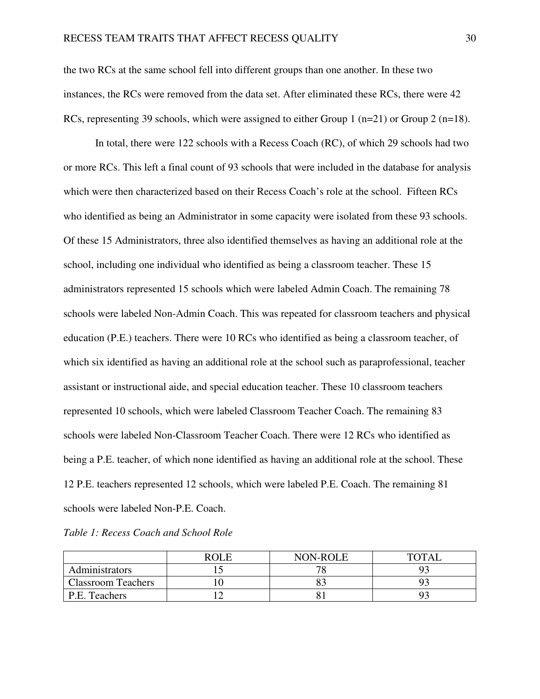the two RCs at the same school fell into different groups than one another. In these two instances, the RCs were removed from the data set. After eliminated these RCs, there were 42 RCs, representing 39 schools, which were assigned to either Group 1 ( $n=21$ ) or Group 2 ( $n=18$ ).

In total, there were 122 schools with a Recess Coach (RC), of which 29 schools had two or more RCs. This left a final count of 93 schools that were included in the database for analysis which were then characterized based on their Recess Coach's role at the school. Fifteen RCs who identified as being an Administrator in some capacity were isolated from these 93 schools. Of these 15 Administrators, three also identified themselves as having an additional role at the school, including one individual who identified as being a classroom teacher. These 15 administrators represented 15 schools which were labeled Admin Coach. The remaining 78 schools were labeled Non-Admin Coach. This was repeated for classroom teachers and physical education (P.E.) teachers. There were 10 RCs who identified as being a classroom teacher, of which six identified as having an additional role at the school such as paraprofessional, teacher assistant or instructional aide, and special education teacher. These 10 classroom teachers represented 10 schools, which were labeled Classroom Teacher Coach. The remaining 83 schools were labeled Non-Classroom Teacher Coach. There were 12 RCs who identified as being a P.E. teacher, of which none identified as having an additional role at the school. These 12 P.E. teachers represented 12 schools, which were labeled P.E. Coach. The remaining 81 schools were labeled Non-P.E. Coach.

|  |  | Table 1: Recess Coach and School Role |
|--|--|---------------------------------------|
|--|--|---------------------------------------|

|                           | <b>ROLE</b> | <b>NON-ROLE</b> | TOTAI |
|---------------------------|-------------|-----------------|-------|
| Administrators            |             | $\pi$           |       |
| <b>Classroom Teachers</b> |             |                 |       |
| P.E. Teachers             |             |                 |       |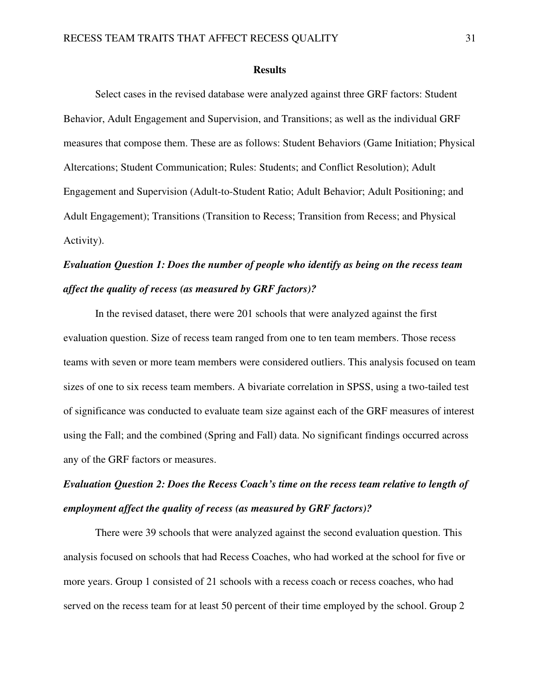#### **Results**

Select cases in the revised database were analyzed against three GRF factors: Student Behavior, Adult Engagement and Supervision, and Transitions; as well as the individual GRF measures that compose them. These are as follows: Student Behaviors (Game Initiation; Physical Altercations; Student Communication; Rules: Students; and Conflict Resolution); Adult Engagement and Supervision (Adult-to-Student Ratio; Adult Behavior; Adult Positioning; and Adult Engagement); Transitions (Transition to Recess; Transition from Recess; and Physical Activity).

# *Evaluation Question 1: Does the number of people who identify as being on the recess team affect the quality of recess (as measured by GRF factors)?*

 In the revised dataset, there were 201 schools that were analyzed against the first evaluation question. Size of recess team ranged from one to ten team members. Those recess teams with seven or more team members were considered outliers. This analysis focused on team sizes of one to six recess team members. A bivariate correlation in SPSS, using a two-tailed test of significance was conducted to evaluate team size against each of the GRF measures of interest using the Fall; and the combined (Spring and Fall) data. No significant findings occurred across any of the GRF factors or measures.

# *Evaluation Question 2: Does the Recess Coach's time on the recess team relative to length of employment affect the quality of recess (as measured by GRF factors)?*

There were 39 schools that were analyzed against the second evaluation question. This analysis focused on schools that had Recess Coaches, who had worked at the school for five or more years. Group 1 consisted of 21 schools with a recess coach or recess coaches, who had served on the recess team for at least 50 percent of their time employed by the school. Group 2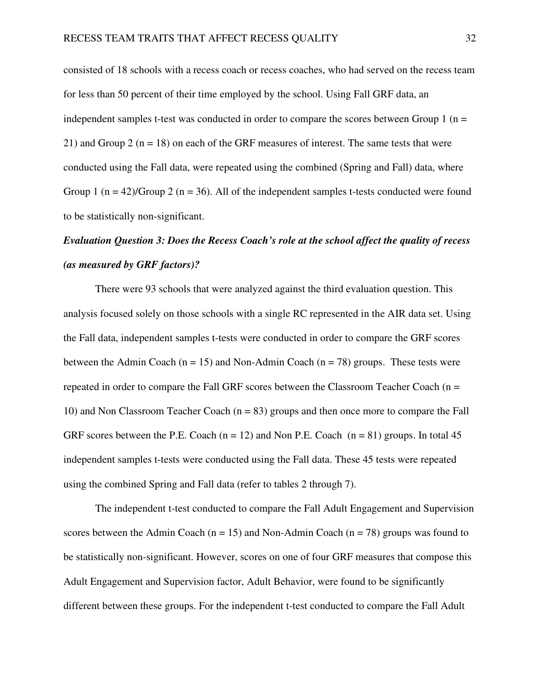consisted of 18 schools with a recess coach or recess coaches, who had served on the recess team for less than 50 percent of their time employed by the school. Using Fall GRF data, an independent samples t-test was conducted in order to compare the scores between Group  $1$  (n = 21) and Group 2 ( $n = 18$ ) on each of the GRF measures of interest. The same tests that were conducted using the Fall data, were repeated using the combined (Spring and Fall) data, where Group 1 ( $n = 42$ )/Group 2 ( $n = 36$ ). All of the independent samples t-tests conducted were found to be statistically non-significant.

# *Evaluation Question 3: Does the Recess Coach's role at the school affect the quality of recess (as measured by GRF factors)?*

There were 93 schools that were analyzed against the third evaluation question. This analysis focused solely on those schools with a single RC represented in the AIR data set. Using the Fall data, independent samples t-tests were conducted in order to compare the GRF scores between the Admin Coach ( $n = 15$ ) and Non-Admin Coach ( $n = 78$ ) groups. These tests were repeated in order to compare the Fall GRF scores between the Classroom Teacher Coach ( $n =$ 10) and Non Classroom Teacher Coach  $(n = 83)$  groups and then once more to compare the Fall GRF scores between the P.E. Coach  $(n = 12)$  and Non P.E. Coach  $(n = 81)$  groups. In total 45 independent samples t-tests were conducted using the Fall data. These 45 tests were repeated using the combined Spring and Fall data (refer to tables 2 through 7).

The independent t-test conducted to compare the Fall Adult Engagement and Supervision scores between the Admin Coach ( $n = 15$ ) and Non-Admin Coach ( $n = 78$ ) groups was found to be statistically non-significant. However, scores on one of four GRF measures that compose this Adult Engagement and Supervision factor, Adult Behavior, were found to be significantly different between these groups. For the independent t-test conducted to compare the Fall Adult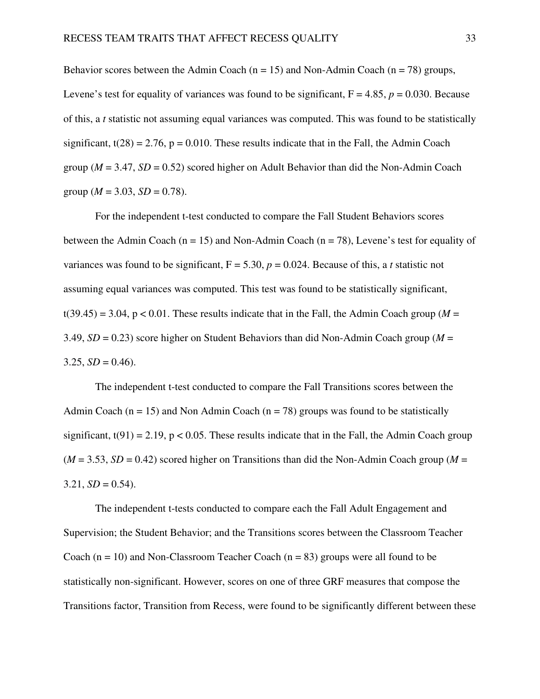Behavior scores between the Admin Coach ( $n = 15$ ) and Non-Admin Coach ( $n = 78$ ) groups, Levene's test for equality of variances was found to be significant,  $F = 4.85$ ,  $p = 0.030$ . Because of this, a *t* statistic not assuming equal variances was computed. This was found to be statistically significant,  $t(28) = 2.76$ ,  $p = 0.010$ . These results indicate that in the Fall, the Admin Coach group ( $M = 3.47$ ,  $SD = 0.52$ ) scored higher on Adult Behavior than did the Non-Admin Coach group ( $M = 3.03$ ,  $SD = 0.78$ ).

For the independent t-test conducted to compare the Fall Student Behaviors scores between the Admin Coach ( $n = 15$ ) and Non-Admin Coach ( $n = 78$ ), Levene's test for equality of variances was found to be significant,  $F = 5.30$ ,  $p = 0.024$ . Because of this, a *t* statistic not assuming equal variances was computed. This test was found to be statistically significant,  $t(39.45) = 3.04$ ,  $p < 0.01$ . These results indicate that in the Fall, the Admin Coach group ( $M =$ 3.49, *SD* = 0.23) score higher on Student Behaviors than did Non-Admin Coach group (*M* =  $3.25, SD = 0.46$ .

The independent t-test conducted to compare the Fall Transitions scores between the Admin Coach ( $n = 15$ ) and Non Admin Coach ( $n = 78$ ) groups was found to be statistically significant,  $t(91) = 2.19$ ,  $p < 0.05$ . These results indicate that in the Fall, the Admin Coach group  $(M = 3.53, SD = 0.42)$  scored higher on Transitions than did the Non-Admin Coach group ( $M =$  $3.21, SD = 0.54$ .

The independent t-tests conducted to compare each the Fall Adult Engagement and Supervision; the Student Behavior; and the Transitions scores between the Classroom Teacher Coach  $(n = 10)$  and Non-Classroom Teacher Coach  $(n = 83)$  groups were all found to be statistically non-significant. However, scores on one of three GRF measures that compose the Transitions factor, Transition from Recess, were found to be significantly different between these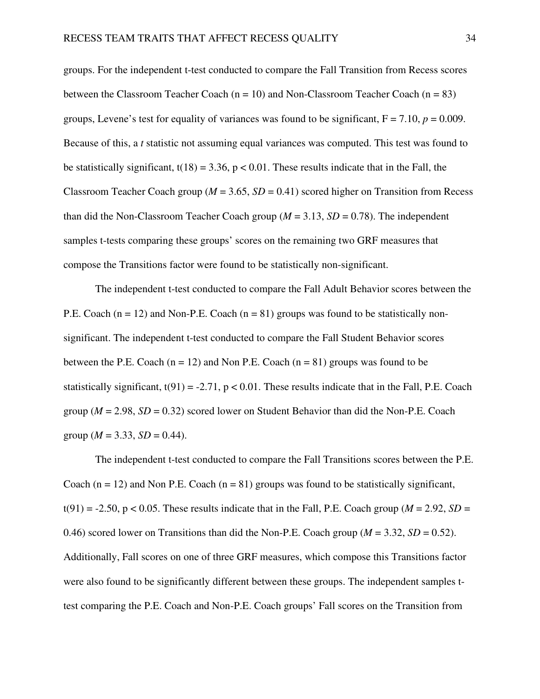groups. For the independent t-test conducted to compare the Fall Transition from Recess scores between the Classroom Teacher Coach  $(n = 10)$  and Non-Classroom Teacher Coach  $(n = 83)$ groups, Levene's test for equality of variances was found to be significant,  $F = 7.10$ ,  $p = 0.009$ . Because of this, a *t* statistic not assuming equal variances was computed. This test was found to be statistically significant,  $t(18) = 3.36$ ,  $p < 0.01$ . These results indicate that in the Fall, the Classroom Teacher Coach group ( $M = 3.65$ ,  $SD = 0.41$ ) scored higher on Transition from Recess than did the Non-Classroom Teacher Coach group ( $M = 3.13$ ,  $SD = 0.78$ ). The independent samples t-tests comparing these groups' scores on the remaining two GRF measures that compose the Transitions factor were found to be statistically non-significant.

The independent t-test conducted to compare the Fall Adult Behavior scores between the P.E. Coach ( $n = 12$ ) and Non-P.E. Coach ( $n = 81$ ) groups was found to be statistically nonsignificant. The independent t-test conducted to compare the Fall Student Behavior scores between the P.E. Coach ( $n = 12$ ) and Non P.E. Coach ( $n = 81$ ) groups was found to be statistically significant,  $t(91) = -2.71$ ,  $p < 0.01$ . These results indicate that in the Fall, P.E. Coach group ( $M = 2.98$ ,  $SD = 0.32$ ) scored lower on Student Behavior than did the Non-P.E. Coach group ( $M = 3.33$ ,  $SD = 0.44$ ).

The independent t-test conducted to compare the Fall Transitions scores between the P.E. Coach ( $n = 12$ ) and Non P.E. Coach ( $n = 81$ ) groups was found to be statistically significant,  $t(91) = -2.50$ , p < 0.05. These results indicate that in the Fall, P.E. Coach group ( $M = 2.92$ ,  $SD =$ 0.46) scored lower on Transitions than did the Non-P.E. Coach group ( $M = 3.32$ ,  $SD = 0.52$ ). Additionally, Fall scores on one of three GRF measures, which compose this Transitions factor were also found to be significantly different between these groups. The independent samples ttest comparing the P.E. Coach and Non-P.E. Coach groups' Fall scores on the Transition from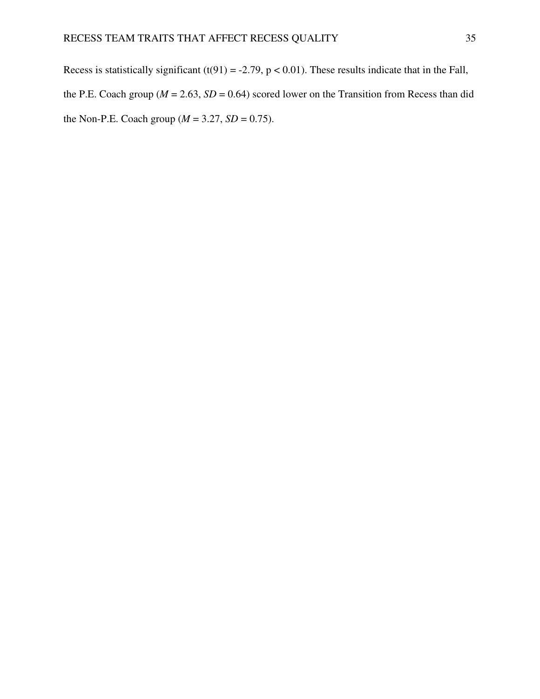Recess is statistically significant (t(91) = -2.79, p < 0.01). These results indicate that in the Fall, the P.E. Coach group ( $M = 2.63$ ,  $SD = 0.64$ ) scored lower on the Transition from Recess than did the Non-P.E. Coach group ( $M = 3.27$ ,  $SD = 0.75$ ).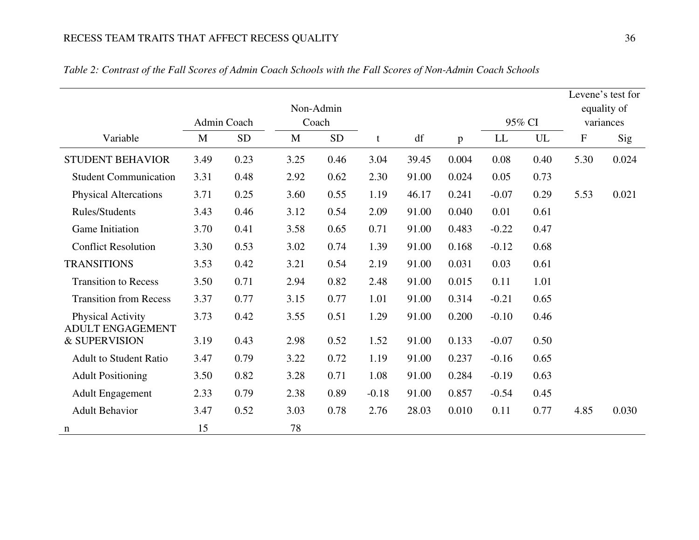|                                                     |      | Admin Coach | Non-Admin |           |         |       |              |         |      |           | Levene's test for<br>equality of |
|-----------------------------------------------------|------|-------------|-----------|-----------|---------|-------|--------------|---------|------|-----------|----------------------------------|
|                                                     |      |             | Coach     |           |         |       |              | 95% CI  |      |           | variances                        |
| Variable                                            | M    | <b>SD</b>   | M         | <b>SD</b> | t       | df    | $\mathbf{p}$ | LL      | UL   | ${\bf F}$ | Sig                              |
| <b>STUDENT BEHAVIOR</b>                             | 3.49 | 0.23        | 3.25      | 0.46      | 3.04    | 39.45 | 0.004        | 0.08    | 0.40 | 5.30      | 0.024                            |
| <b>Student Communication</b>                        | 3.31 | 0.48        | 2.92      | 0.62      | 2.30    | 91.00 | 0.024        | 0.05    | 0.73 |           |                                  |
| <b>Physical Altercations</b>                        | 3.71 | 0.25        | 3.60      | 0.55      | 1.19    | 46.17 | 0.241        | $-0.07$ | 0.29 | 5.53      | 0.021                            |
| Rules/Students                                      | 3.43 | 0.46        | 3.12      | 0.54      | 2.09    | 91.00 | 0.040        | 0.01    | 0.61 |           |                                  |
| Game Initiation                                     | 3.70 | 0.41        | 3.58      | 0.65      | 0.71    | 91.00 | 0.483        | $-0.22$ | 0.47 |           |                                  |
| <b>Conflict Resolution</b>                          | 3.30 | 0.53        | 3.02      | 0.74      | 1.39    | 91.00 | 0.168        | $-0.12$ | 0.68 |           |                                  |
| <b>TRANSITIONS</b>                                  | 3.53 | 0.42        | 3.21      | 0.54      | 2.19    | 91.00 | 0.031        | 0.03    | 0.61 |           |                                  |
| <b>Transition to Recess</b>                         | 3.50 | 0.71        | 2.94      | 0.82      | 2.48    | 91.00 | 0.015        | 0.11    | 1.01 |           |                                  |
| <b>Transition from Recess</b>                       | 3.37 | 0.77        | 3.15      | 0.77      | 1.01    | 91.00 | 0.314        | $-0.21$ | 0.65 |           |                                  |
| <b>Physical Activity</b><br><b>ADULT ENGAGEMENT</b> | 3.73 | 0.42        | 3.55      | 0.51      | 1.29    | 91.00 | 0.200        | $-0.10$ | 0.46 |           |                                  |
| & SUPERVISION                                       | 3.19 | 0.43        | 2.98      | 0.52      | 1.52    | 91.00 | 0.133        | $-0.07$ | 0.50 |           |                                  |
| <b>Adult to Student Ratio</b>                       | 3.47 | 0.79        | 3.22      | 0.72      | 1.19    | 91.00 | 0.237        | $-0.16$ | 0.65 |           |                                  |
| <b>Adult Positioning</b>                            | 3.50 | 0.82        | 3.28      | 0.71      | 1.08    | 91.00 | 0.284        | $-0.19$ | 0.63 |           |                                  |
| <b>Adult Engagement</b>                             | 2.33 | 0.79        | 2.38      | 0.89      | $-0.18$ | 91.00 | 0.857        | $-0.54$ | 0.45 |           |                                  |
| <b>Adult Behavior</b>                               | 3.47 | 0.52        | 3.03      | 0.78      | 2.76    | 28.03 | 0.010        | 0.11    | 0.77 | 4.85      | 0.030                            |
| n                                                   | 15   |             | 78        |           |         |       |              |         |      |           |                                  |

# *Table 2: Contrast of the Fall Scores of Admin Coach Schools with the Fall Scores of Non-Admin Coach Schools*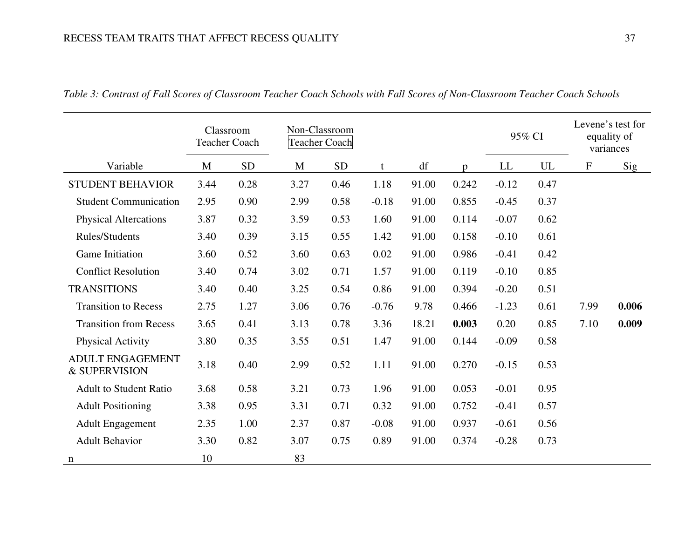|                                          |              | Classroom<br><b>Teacher Coach</b> | Non-Classroom<br><b>Teacher Coach</b> |            |         |       |       |         | 95% CI | Levene's test for<br>equality of<br>variances |       |
|------------------------------------------|--------------|-----------------------------------|---------------------------------------|------------|---------|-------|-------|---------|--------|-----------------------------------------------|-------|
| Variable                                 | $\mathbf{M}$ | <b>SD</b>                         | M                                     | ${\rm SD}$ | t       | df    | p     | LL      | UL     | ${\bf F}$                                     | Sig   |
| <b>STUDENT BEHAVIOR</b>                  | 3.44         | 0.28                              | 3.27                                  | 0.46       | 1.18    | 91.00 | 0.242 | $-0.12$ | 0.47   |                                               |       |
| <b>Student Communication</b>             | 2.95         | 0.90                              | 2.99                                  | 0.58       | $-0.18$ | 91.00 | 0.855 | $-0.45$ | 0.37   |                                               |       |
| <b>Physical Altercations</b>             | 3.87         | 0.32                              | 3.59                                  | 0.53       | 1.60    | 91.00 | 0.114 | $-0.07$ | 0.62   |                                               |       |
| Rules/Students                           | 3.40         | 0.39                              | 3.15                                  | 0.55       | 1.42    | 91.00 | 0.158 | $-0.10$ | 0.61   |                                               |       |
| Game Initiation                          | 3.60         | 0.52                              | 3.60                                  | 0.63       | 0.02    | 91.00 | 0.986 | $-0.41$ | 0.42   |                                               |       |
| <b>Conflict Resolution</b>               | 3.40         | 0.74                              | 3.02                                  | 0.71       | 1.57    | 91.00 | 0.119 | $-0.10$ | 0.85   |                                               |       |
| <b>TRANSITIONS</b>                       | 3.40         | 0.40                              | 3.25                                  | 0.54       | 0.86    | 91.00 | 0.394 | $-0.20$ | 0.51   |                                               |       |
| <b>Transition to Recess</b>              | 2.75         | 1.27                              | 3.06                                  | 0.76       | $-0.76$ | 9.78  | 0.466 | $-1.23$ | 0.61   | 7.99                                          | 0.006 |
| <b>Transition from Recess</b>            | 3.65         | 0.41                              | 3.13                                  | 0.78       | 3.36    | 18.21 | 0.003 | 0.20    | 0.85   | 7.10                                          | 0.009 |
| Physical Activity                        | 3.80         | 0.35                              | 3.55                                  | 0.51       | 1.47    | 91.00 | 0.144 | $-0.09$ | 0.58   |                                               |       |
| <b>ADULT ENGAGEMENT</b><br>& SUPERVISION | 3.18         | 0.40                              | 2.99                                  | 0.52       | 1.11    | 91.00 | 0.270 | $-0.15$ | 0.53   |                                               |       |
| <b>Adult to Student Ratio</b>            | 3.68         | 0.58                              | 3.21                                  | 0.73       | 1.96    | 91.00 | 0.053 | $-0.01$ | 0.95   |                                               |       |
| <b>Adult Positioning</b>                 | 3.38         | 0.95                              | 3.31                                  | 0.71       | 0.32    | 91.00 | 0.752 | $-0.41$ | 0.57   |                                               |       |
| <b>Adult Engagement</b>                  | 2.35         | 1.00                              | 2.37                                  | 0.87       | $-0.08$ | 91.00 | 0.937 | $-0.61$ | 0.56   |                                               |       |
| <b>Adult Behavior</b>                    | 3.30         | 0.82                              | 3.07                                  | 0.75       | 0.89    | 91.00 | 0.374 | $-0.28$ | 0.73   |                                               |       |
| n                                        | 10           |                                   | 83                                    |            |         |       |       |         |        |                                               |       |

*Table 3: Contrast of Fall Scores of Classroom Teacher Coach Schools with Fall Scores of Non-Classroom Teacher Coach Schools*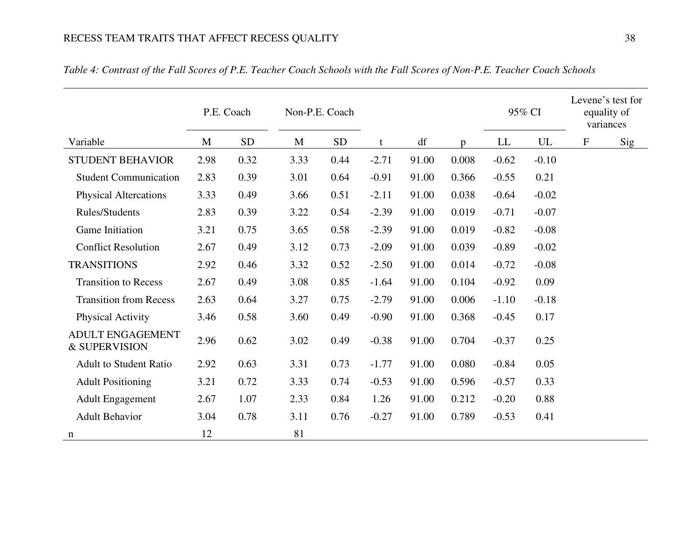|                                          |      | P.E. Coach | Non-P.E. Coach |            |         |       |              |         | 95% CI  | Levene's test for<br>variances | equality of |
|------------------------------------------|------|------------|----------------|------------|---------|-------|--------------|---------|---------|--------------------------------|-------------|
| Variable                                 | M    | <b>SD</b>  | M              | ${\rm SD}$ | t       | df    | $\mathbf{D}$ | LL      | UL      | $\mathbf F$                    | Sig         |
| <b>STUDENT BEHAVIOR</b>                  | 2.98 | 0.32       | 3.33           | 0.44       | $-2.71$ | 91.00 | 0.008        | $-0.62$ | $-0.10$ |                                |             |
| <b>Student Communication</b>             | 2.83 | 0.39       | 3.01           | 0.64       | $-0.91$ | 91.00 | 0.366        | $-0.55$ | 0.21    |                                |             |
| <b>Physical Altercations</b>             | 3.33 | 0.49       | 3.66           | 0.51       | $-2.11$ | 91.00 | 0.038        | $-0.64$ | $-0.02$ |                                |             |
| Rules/Students                           | 2.83 | 0.39       | 3.22           | 0.54       | $-2.39$ | 91.00 | 0.019        | $-0.71$ | $-0.07$ |                                |             |
| Game Initiation                          | 3.21 | 0.75       | 3.65           | 0.58       | $-2.39$ | 91.00 | 0.019        | $-0.82$ | $-0.08$ |                                |             |
| <b>Conflict Resolution</b>               | 2.67 | 0.49       | 3.12           | 0.73       | $-2.09$ | 91.00 | 0.039        | $-0.89$ | $-0.02$ |                                |             |
| <b>TRANSITIONS</b>                       | 2.92 | 0.46       | 3.32           | 0.52       | $-2.50$ | 91.00 | 0.014        | $-0.72$ | $-0.08$ |                                |             |
| <b>Transition to Recess</b>              | 2.67 | 0.49       | 3.08           | 0.85       | $-1.64$ | 91.00 | 0.104        | $-0.92$ | 0.09    |                                |             |
| <b>Transition from Recess</b>            | 2.63 | 0.64       | 3.27           | 0.75       | $-2.79$ | 91.00 | 0.006        | $-1.10$ | $-0.18$ |                                |             |
| Physical Activity                        | 3.46 | 0.58       | 3.60           | 0.49       | $-0.90$ | 91.00 | 0.368        | $-0.45$ | 0.17    |                                |             |
| <b>ADULT ENGAGEMENT</b><br>& SUPERVISION | 2.96 | 0.62       | 3.02           | 0.49       | $-0.38$ | 91.00 | 0.704        | $-0.37$ | 0.25    |                                |             |
| <b>Adult to Student Ratio</b>            | 2.92 | 0.63       | 3.31           | 0.73       | $-1.77$ | 91.00 | 0.080        | $-0.84$ | 0.05    |                                |             |
| <b>Adult Positioning</b>                 | 3.21 | 0.72       | 3.33           | 0.74       | $-0.53$ | 91.00 | 0.596        | $-0.57$ | 0.33    |                                |             |
| <b>Adult Engagement</b>                  | 2.67 | 1.07       | 2.33           | 0.84       | 1.26    | 91.00 | 0.212        | $-0.20$ | 0.88    |                                |             |
| <b>Adult Behavior</b>                    | 3.04 | 0.78       | 3.11           | 0.76       | $-0.27$ | 91.00 | 0.789        | $-0.53$ | 0.41    |                                |             |
| n                                        | 12   |            | 81             |            |         |       |              |         |         |                                |             |

*Table 4: Contrast of the Fall Scores of P.E. Teacher Coach Schools with the Fall Scores of Non-P.E. Teacher Coach Schools*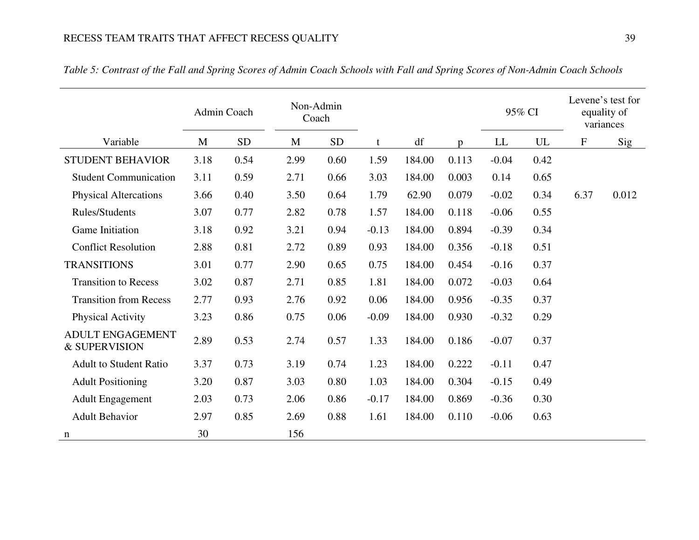|                                          |      | Admin Coach | Non-Admin<br>Coach |           |         |        |              |                            | 95% CI                   |           | Levene's test for<br>equality of<br>variances |
|------------------------------------------|------|-------------|--------------------|-----------|---------|--------|--------------|----------------------------|--------------------------|-----------|-----------------------------------------------|
| Variable                                 | M    | ${\rm SD}$  | M                  | <b>SD</b> | t       | df     | $\mathbf{D}$ | $\mathop{\rm LL}\nolimits$ | $\ensuremath{\text{UL}}$ | ${\rm F}$ | Sig                                           |
| <b>STUDENT BEHAVIOR</b>                  | 3.18 | 0.54        | 2.99               | 0.60      | 1.59    | 184.00 | 0.113        | $-0.04$                    | 0.42                     |           |                                               |
| <b>Student Communication</b>             | 3.11 | 0.59        | 2.71               | 0.66      | 3.03    | 184.00 | 0.003        | 0.14                       | 0.65                     |           |                                               |
| <b>Physical Altercations</b>             | 3.66 | 0.40        | 3.50               | 0.64      | 1.79    | 62.90  | 0.079        | $-0.02$                    | 0.34                     | 6.37      | 0.012                                         |
| <b>Rules/Students</b>                    | 3.07 | 0.77        | 2.82               | 0.78      | 1.57    | 184.00 | 0.118        | $-0.06$                    | 0.55                     |           |                                               |
| Game Initiation                          | 3.18 | 0.92        | 3.21               | 0.94      | $-0.13$ | 184.00 | 0.894        | $-0.39$                    | 0.34                     |           |                                               |
| <b>Conflict Resolution</b>               | 2.88 | 0.81        | 2.72               | 0.89      | 0.93    | 184.00 | 0.356        | $-0.18$                    | 0.51                     |           |                                               |
| <b>TRANSITIONS</b>                       | 3.01 | 0.77        | 2.90               | 0.65      | 0.75    | 184.00 | 0.454        | $-0.16$                    | 0.37                     |           |                                               |
| <b>Transition to Recess</b>              | 3.02 | 0.87        | 2.71               | 0.85      | 1.81    | 184.00 | 0.072        | $-0.03$                    | 0.64                     |           |                                               |
| <b>Transition from Recess</b>            | 2.77 | 0.93        | 2.76               | 0.92      | 0.06    | 184.00 | 0.956        | $-0.35$                    | 0.37                     |           |                                               |
| <b>Physical Activity</b>                 | 3.23 | 0.86        | 0.75               | 0.06      | $-0.09$ | 184.00 | 0.930        | $-0.32$                    | 0.29                     |           |                                               |
| <b>ADULT ENGAGEMENT</b><br>& SUPERVISION | 2.89 | 0.53        | 2.74               | 0.57      | 1.33    | 184.00 | 0.186        | $-0.07$                    | 0.37                     |           |                                               |
| <b>Adult to Student Ratio</b>            | 3.37 | 0.73        | 3.19               | 0.74      | 1.23    | 184.00 | 0.222        | $-0.11$                    | 0.47                     |           |                                               |
| <b>Adult Positioning</b>                 | 3.20 | 0.87        | 3.03               | 0.80      | 1.03    | 184.00 | 0.304        | $-0.15$                    | 0.49                     |           |                                               |
| <b>Adult Engagement</b>                  | 2.03 | 0.73        | 2.06               | 0.86      | $-0.17$ | 184.00 | 0.869        | $-0.36$                    | 0.30                     |           |                                               |
| <b>Adult Behavior</b>                    | 2.97 | 0.85        | 2.69               | 0.88      | 1.61    | 184.00 | 0.110        | $-0.06$                    | 0.63                     |           |                                               |
| n                                        | 30   |             | 156                |           |         |        |              |                            |                          |           |                                               |

*Table 5: Contrast of the Fall and Spring Scores of Admin Coach Schools with Fall and Spring Scores of Non-Admin Coach Schools*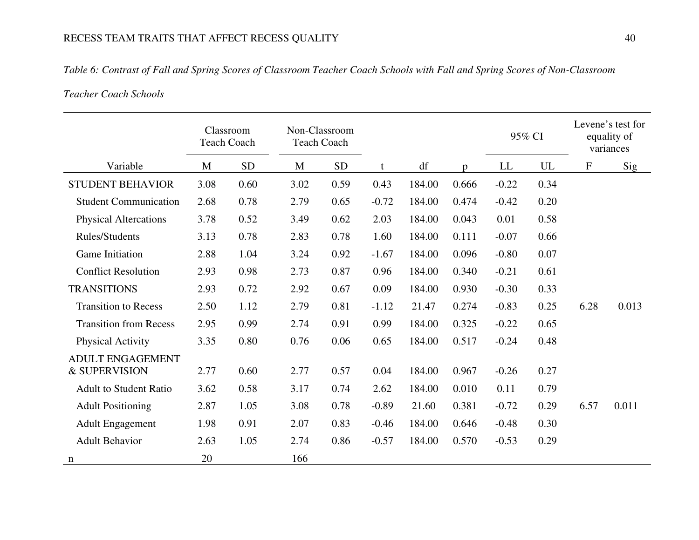### *Table 6: Contrast of Fall and Spring Scores of Classroom Teacher Coach Schools with Fall and Spring Scores of Non-Classroom*

# *Teacher Coach Schools*

|                                          |      | Classroom<br><b>Teach Coach</b> | Non-Classroom<br><b>Teach Coach</b> |           |         |        |              | 95% CI  |      |      | Levene's test for<br>equality of<br>variances |
|------------------------------------------|------|---------------------------------|-------------------------------------|-----------|---------|--------|--------------|---------|------|------|-----------------------------------------------|
| Variable                                 | M    | <b>SD</b>                       | M                                   | <b>SD</b> | t       | df     | $\mathbf{D}$ | LL      | UL   | F    | Sig                                           |
| <b>STUDENT BEHAVIOR</b>                  | 3.08 | 0.60                            | 3.02                                | 0.59      | 0.43    | 184.00 | 0.666        | $-0.22$ | 0.34 |      |                                               |
| <b>Student Communication</b>             | 2.68 | 0.78                            | 2.79                                | 0.65      | $-0.72$ | 184.00 | 0.474        | $-0.42$ | 0.20 |      |                                               |
| <b>Physical Altercations</b>             | 3.78 | 0.52                            | 3.49                                | 0.62      | 2.03    | 184.00 | 0.043        | 0.01    | 0.58 |      |                                               |
| Rules/Students                           | 3.13 | 0.78                            | 2.83                                | 0.78      | 1.60    | 184.00 | 0.111        | $-0.07$ | 0.66 |      |                                               |
| Game Initiation                          | 2.88 | 1.04                            | 3.24                                | 0.92      | $-1.67$ | 184.00 | 0.096        | $-0.80$ | 0.07 |      |                                               |
| <b>Conflict Resolution</b>               | 2.93 | 0.98                            | 2.73                                | 0.87      | 0.96    | 184.00 | 0.340        | $-0.21$ | 0.61 |      |                                               |
| <b>TRANSITIONS</b>                       | 2.93 | 0.72                            | 2.92                                | 0.67      | 0.09    | 184.00 | 0.930        | $-0.30$ | 0.33 |      |                                               |
| <b>Transition to Recess</b>              | 2.50 | 1.12                            | 2.79                                | 0.81      | $-1.12$ | 21.47  | 0.274        | $-0.83$ | 0.25 | 6.28 | 0.013                                         |
| <b>Transition from Recess</b>            | 2.95 | 0.99                            | 2.74                                | 0.91      | 0.99    | 184.00 | 0.325        | $-0.22$ | 0.65 |      |                                               |
| Physical Activity                        | 3.35 | 0.80                            | 0.76                                | 0.06      | 0.65    | 184.00 | 0.517        | $-0.24$ | 0.48 |      |                                               |
| <b>ADULT ENGAGEMENT</b><br>& SUPERVISION | 2.77 | 0.60                            | 2.77                                | 0.57      | 0.04    | 184.00 | 0.967        | $-0.26$ | 0.27 |      |                                               |
| <b>Adult to Student Ratio</b>            | 3.62 | 0.58                            | 3.17                                | 0.74      | 2.62    | 184.00 | 0.010        | 0.11    | 0.79 |      |                                               |
|                                          |      |                                 |                                     |           |         |        |              |         |      |      |                                               |
| <b>Adult Positioning</b>                 | 2.87 | 1.05                            | 3.08                                | 0.78      | $-0.89$ | 21.60  | 0.381        | $-0.72$ | 0.29 | 6.57 | 0.011                                         |
| <b>Adult Engagement</b>                  | 1.98 | 0.91                            | 2.07                                | 0.83      | $-0.46$ | 184.00 | 0.646        | $-0.48$ | 0.30 |      |                                               |
| <b>Adult Behavior</b>                    | 2.63 | 1.05                            | 2.74                                | 0.86      | $-0.57$ | 184.00 | 0.570        | $-0.53$ | 0.29 |      |                                               |
| n                                        | 20   |                                 | 166                                 |           |         |        |              |         |      |      |                                               |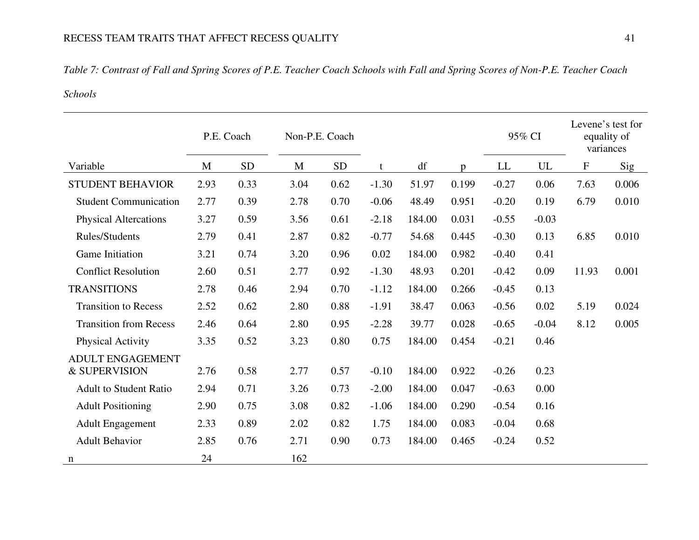### *Table 7: Contrast of Fall and Spring Scores of P.E. Teacher Coach Schools with Fall and Spring Scores of Non-P.E. Teacher Coach*

# *Schools*

|                                          |      | P.E. Coach | Non-P.E. Coach |           |         |        |              |                            | 95% CI                     |           | Levene's test for<br>equality of<br>variances |
|------------------------------------------|------|------------|----------------|-----------|---------|--------|--------------|----------------------------|----------------------------|-----------|-----------------------------------------------|
| Variable                                 | M    | <b>SD</b>  | M              | <b>SD</b> | t       | df     | $\mathbf{D}$ | $\mathop{\rm LL}\nolimits$ | $\ensuremath{\mathrm{UL}}$ | ${\bf F}$ | Sig                                           |
| <b>STUDENT BEHAVIOR</b>                  | 2.93 | 0.33       | 3.04           | 0.62      | $-1.30$ | 51.97  | 0.199        | $-0.27$                    | 0.06                       | 7.63      | 0.006                                         |
| <b>Student Communication</b>             | 2.77 | 0.39       | 2.78           | 0.70      | $-0.06$ | 48.49  | 0.951        | $-0.20$                    | 0.19                       | 6.79      | 0.010                                         |
| <b>Physical Altercations</b>             | 3.27 | 0.59       | 3.56           | 0.61      | $-2.18$ | 184.00 | 0.031        | $-0.55$                    | $-0.03$                    |           |                                               |
| <b>Rules/Students</b>                    | 2.79 | 0.41       | 2.87           | 0.82      | $-0.77$ | 54.68  | 0.445        | $-0.30$                    | 0.13                       | 6.85      | 0.010                                         |
| <b>Game Initiation</b>                   | 3.21 | 0.74       | 3.20           | 0.96      | 0.02    | 184.00 | 0.982        | $-0.40$                    | 0.41                       |           |                                               |
| <b>Conflict Resolution</b>               | 2.60 | 0.51       | 2.77           | 0.92      | $-1.30$ | 48.93  | 0.201        | $-0.42$                    | 0.09                       | 11.93     | 0.001                                         |
| <b>TRANSITIONS</b>                       | 2.78 | 0.46       | 2.94           | 0.70      | $-1.12$ | 184.00 | 0.266        | $-0.45$                    | 0.13                       |           |                                               |
| <b>Transition to Recess</b>              | 2.52 | 0.62       | 2.80           | 0.88      | $-1.91$ | 38.47  | 0.063        | $-0.56$                    | 0.02                       | 5.19      | 0.024                                         |
| <b>Transition from Recess</b>            | 2.46 | 0.64       | 2.80           | 0.95      | $-2.28$ | 39.77  | 0.028        | $-0.65$                    | $-0.04$                    | 8.12      | 0.005                                         |
| <b>Physical Activity</b>                 | 3.35 | 0.52       | 3.23           | 0.80      | 0.75    | 184.00 | 0.454        | $-0.21$                    | 0.46                       |           |                                               |
| <b>ADULT ENGAGEMENT</b><br>& SUPERVISION | 2.76 | 0.58       | 2.77           | 0.57      | $-0.10$ | 184.00 | 0.922        | $-0.26$                    | 0.23                       |           |                                               |
| <b>Adult to Student Ratio</b>            | 2.94 | 0.71       | 3.26           | 0.73      | $-2.00$ | 184.00 | 0.047        | $-0.63$                    | 0.00                       |           |                                               |
| <b>Adult Positioning</b>                 | 2.90 | 0.75       | 3.08           | 0.82      | $-1.06$ | 184.00 | 0.290        | $-0.54$                    | 0.16                       |           |                                               |
| <b>Adult Engagement</b>                  | 2.33 | 0.89       | 2.02           | 0.82      | 1.75    | 184.00 | 0.083        | $-0.04$                    | 0.68                       |           |                                               |
| <b>Adult Behavior</b>                    | 2.85 | 0.76       | 2.71           | 0.90      | 0.73    | 184.00 | 0.465        | $-0.24$                    | 0.52                       |           |                                               |
| n                                        | 24   |            | 162            |           |         |        |              |                            |                            |           |                                               |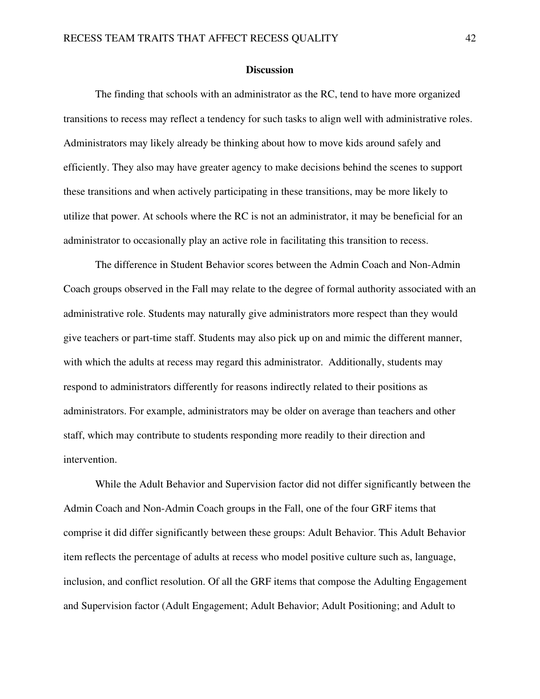#### **Discussion**

The finding that schools with an administrator as the RC, tend to have more organized transitions to recess may reflect a tendency for such tasks to align well with administrative roles. Administrators may likely already be thinking about how to move kids around safely and efficiently. They also may have greater agency to make decisions behind the scenes to support these transitions and when actively participating in these transitions, may be more likely to utilize that power. At schools where the RC is not an administrator, it may be beneficial for an administrator to occasionally play an active role in facilitating this transition to recess.

The difference in Student Behavior scores between the Admin Coach and Non-Admin Coach groups observed in the Fall may relate to the degree of formal authority associated with an administrative role. Students may naturally give administrators more respect than they would give teachers or part-time staff. Students may also pick up on and mimic the different manner, with which the adults at recess may regard this administrator. Additionally, students may respond to administrators differently for reasons indirectly related to their positions as administrators. For example, administrators may be older on average than teachers and other staff, which may contribute to students responding more readily to their direction and intervention.

While the Adult Behavior and Supervision factor did not differ significantly between the Admin Coach and Non-Admin Coach groups in the Fall, one of the four GRF items that comprise it did differ significantly between these groups: Adult Behavior. This Adult Behavior item reflects the percentage of adults at recess who model positive culture such as, language, inclusion, and conflict resolution. Of all the GRF items that compose the Adulting Engagement and Supervision factor (Adult Engagement; Adult Behavior; Adult Positioning; and Adult to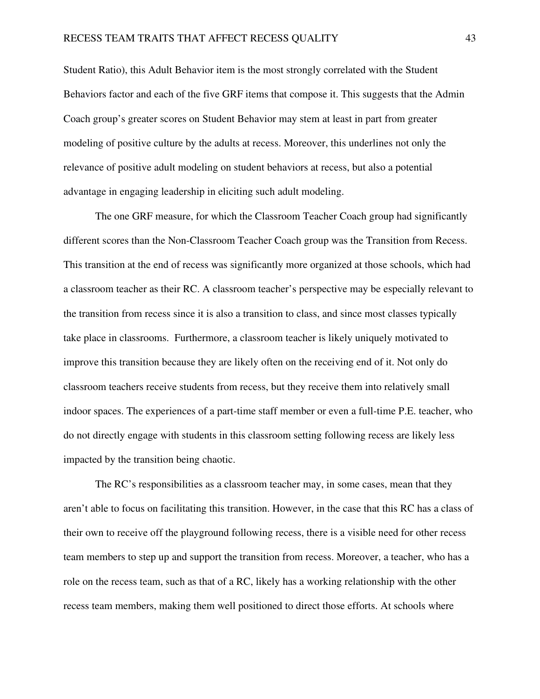Student Ratio), this Adult Behavior item is the most strongly correlated with the Student Behaviors factor and each of the five GRF items that compose it. This suggests that the Admin Coach group's greater scores on Student Behavior may stem at least in part from greater modeling of positive culture by the adults at recess. Moreover, this underlines not only the relevance of positive adult modeling on student behaviors at recess, but also a potential advantage in engaging leadership in eliciting such adult modeling.

The one GRF measure, for which the Classroom Teacher Coach group had significantly different scores than the Non-Classroom Teacher Coach group was the Transition from Recess. This transition at the end of recess was significantly more organized at those schools, which had a classroom teacher as their RC. A classroom teacher's perspective may be especially relevant to the transition from recess since it is also a transition to class, and since most classes typically take place in classrooms. Furthermore, a classroom teacher is likely uniquely motivated to improve this transition because they are likely often on the receiving end of it. Not only do classroom teachers receive students from recess, but they receive them into relatively small indoor spaces. The experiences of a part-time staff member or even a full-time P.E. teacher, who do not directly engage with students in this classroom setting following recess are likely less impacted by the transition being chaotic.

The RC's responsibilities as a classroom teacher may, in some cases, mean that they aren't able to focus on facilitating this transition. However, in the case that this RC has a class of their own to receive off the playground following recess, there is a visible need for other recess team members to step up and support the transition from recess. Moreover, a teacher, who has a role on the recess team, such as that of a RC, likely has a working relationship with the other recess team members, making them well positioned to direct those efforts. At schools where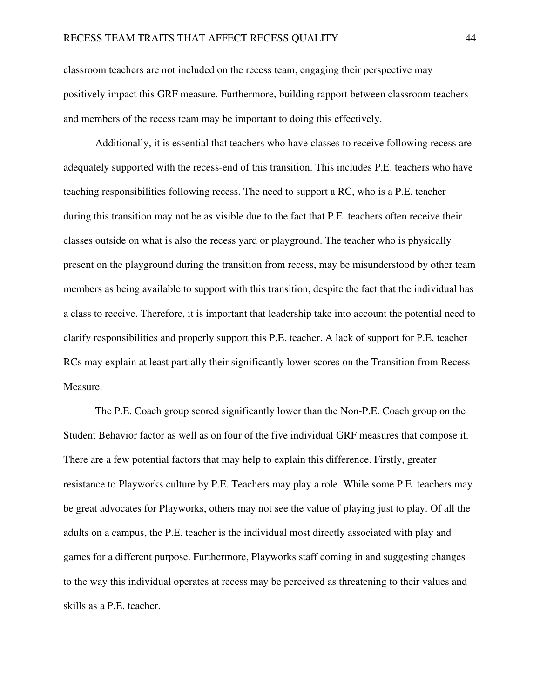classroom teachers are not included on the recess team, engaging their perspective may positively impact this GRF measure. Furthermore, building rapport between classroom teachers and members of the recess team may be important to doing this effectively.

Additionally, it is essential that teachers who have classes to receive following recess are adequately supported with the recess-end of this transition. This includes P.E. teachers who have teaching responsibilities following recess. The need to support a RC, who is a P.E. teacher during this transition may not be as visible due to the fact that P.E. teachers often receive their classes outside on what is also the recess yard or playground. The teacher who is physically present on the playground during the transition from recess, may be misunderstood by other team members as being available to support with this transition, despite the fact that the individual has a class to receive. Therefore, it is important that leadership take into account the potential need to clarify responsibilities and properly support this P.E. teacher. A lack of support for P.E. teacher RCs may explain at least partially their significantly lower scores on the Transition from Recess Measure.

The P.E. Coach group scored significantly lower than the Non-P.E. Coach group on the Student Behavior factor as well as on four of the five individual GRF measures that compose it. There are a few potential factors that may help to explain this difference. Firstly, greater resistance to Playworks culture by P.E. Teachers may play a role. While some P.E. teachers may be great advocates for Playworks, others may not see the value of playing just to play. Of all the adults on a campus, the P.E. teacher is the individual most directly associated with play and games for a different purpose. Furthermore, Playworks staff coming in and suggesting changes to the way this individual operates at recess may be perceived as threatening to their values and skills as a P.E. teacher.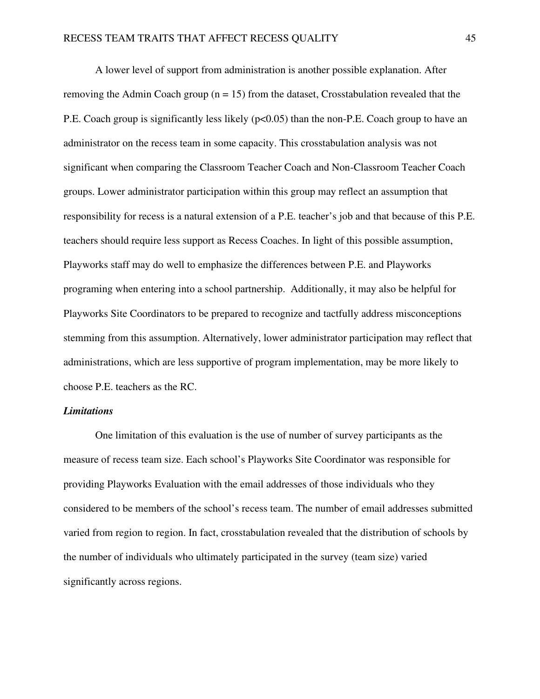A lower level of support from administration is another possible explanation. After removing the Admin Coach group  $(n = 15)$  from the dataset, Crosstabulation revealed that the P.E. Coach group is significantly less likely ( $p<0.05$ ) than the non-P.E. Coach group to have an administrator on the recess team in some capacity. This crosstabulation analysis was not significant when comparing the Classroom Teacher Coach and Non-Classroom Teacher Coach groups. Lower administrator participation within this group may reflect an assumption that responsibility for recess is a natural extension of a P.E. teacher's job and that because of this P.E. teachers should require less support as Recess Coaches. In light of this possible assumption, Playworks staff may do well to emphasize the differences between P.E. and Playworks programing when entering into a school partnership. Additionally, it may also be helpful for Playworks Site Coordinators to be prepared to recognize and tactfully address misconceptions stemming from this assumption. Alternatively, lower administrator participation may reflect that administrations, which are less supportive of program implementation, may be more likely to choose P.E. teachers as the RC.

#### *Limitations*

 One limitation of this evaluation is the use of number of survey participants as the measure of recess team size. Each school's Playworks Site Coordinator was responsible for providing Playworks Evaluation with the email addresses of those individuals who they considered to be members of the school's recess team. The number of email addresses submitted varied from region to region. In fact, crosstabulation revealed that the distribution of schools by the number of individuals who ultimately participated in the survey (team size) varied significantly across regions.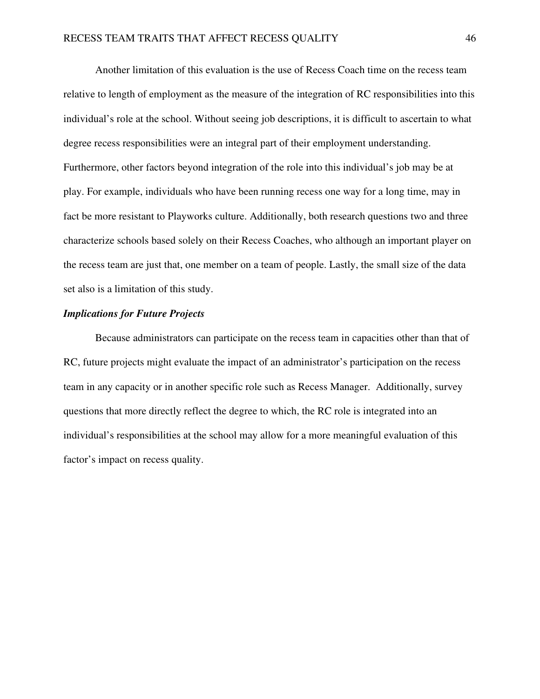Another limitation of this evaluation is the use of Recess Coach time on the recess team relative to length of employment as the measure of the integration of RC responsibilities into this individual's role at the school. Without seeing job descriptions, it is difficult to ascertain to what degree recess responsibilities were an integral part of their employment understanding. Furthermore, other factors beyond integration of the role into this individual's job may be at play. For example, individuals who have been running recess one way for a long time, may in fact be more resistant to Playworks culture. Additionally, both research questions two and three characterize schools based solely on their Recess Coaches, who although an important player on the recess team are just that, one member on a team of people. Lastly, the small size of the data set also is a limitation of this study.

#### *Implications for Future Projects*

Because administrators can participate on the recess team in capacities other than that of RC, future projects might evaluate the impact of an administrator's participation on the recess team in any capacity or in another specific role such as Recess Manager. Additionally, survey questions that more directly reflect the degree to which, the RC role is integrated into an individual's responsibilities at the school may allow for a more meaningful evaluation of this factor's impact on recess quality.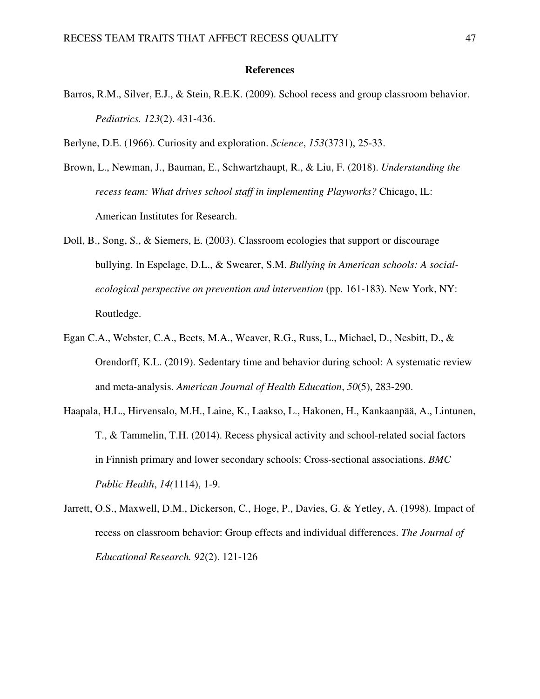#### **References**

Barros, R.M., Silver, E.J., & Stein, R.E.K. (2009). School recess and group classroom behavior. *Pediatrics. 123*(2). 431-436.

Berlyne, D.E. (1966). Curiosity and exploration. *Science*, *153*(3731), 25-33.

- Brown, L., Newman, J., Bauman, E., Schwartzhaupt, R., & Liu, F. (2018). *Understanding the recess team: What drives school staff in implementing Playworks?* Chicago, IL: American Institutes for Research.
- Doll, B., Song, S., & Siemers, E. (2003). Classroom ecologies that support or discourage bullying. In Espelage, D.L., & Swearer, S.M. *Bullying in American schools: A socialecological perspective on prevention and intervention* (pp. 161-183). New York, NY: Routledge.
- Egan C.A., Webster, C.A., Beets, M.A., Weaver, R.G., Russ, L., Michael, D., Nesbitt, D., & Orendorff, K.L. (2019). Sedentary time and behavior during school: A systematic review and meta-analysis. *American Journal of Health Education*, *50*(5), 283-290.
- Haapala, H.L., Hirvensalo, M.H., Laine, K., Laakso, L., Hakonen, H., Kankaanpää, A., Lintunen, T., & Tammelin, T.H. (2014). Recess physical activity and school-related social factors in Finnish primary and lower secondary schools: Cross-sectional associations. *BMC Public Health*, *14(*1114), 1-9.
- Jarrett, O.S., Maxwell, D.M., Dickerson, C., Hoge, P., Davies, G. & Yetley, A. (1998). Impact of recess on classroom behavior: Group effects and individual differences. *The Journal of Educational Research. 92*(2). 121-126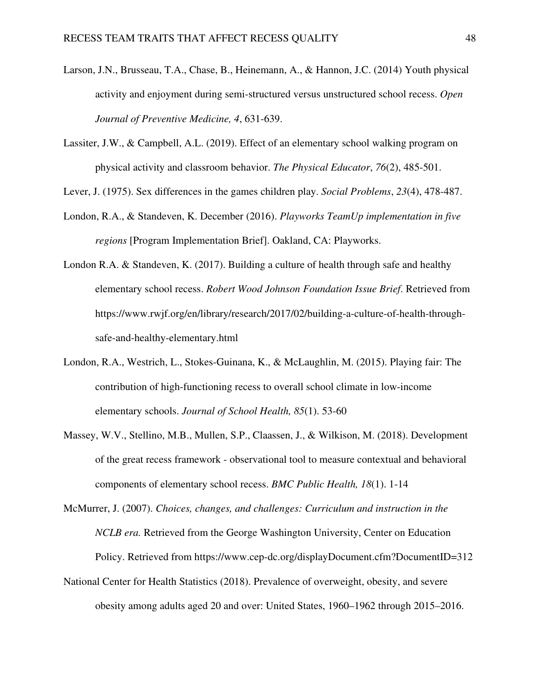- Larson, J.N., Brusseau, T.A., Chase, B., Heinemann, A., & Hannon, J.C. (2014) Youth physical activity and enjoyment during semi-structured versus unstructured school recess. *Open Journal of Preventive Medicine, 4*, 631-639.
- Lassiter, J.W., & Campbell, A.L. (2019). Effect of an elementary school walking program on physical activity and classroom behavior. *The Physical Educator*, *76*(2), 485-501.

Lever, J. (1975). Sex differences in the games children play. *Social Problems*, *23*(4), 478-487.

- London, R.A., & Standeven, K. December (2016). *Playworks TeamUp implementation in five regions* [Program Implementation Brief]. Oakland, CA: Playworks.
- London R.A. & Standeven, K. (2017). Building a culture of health through safe and healthy elementary school recess. *Robert Wood Johnson Foundation Issue Brief*. Retrieved from https://www.rwjf.org/en/library/research/2017/02/building-a-culture-of-health-throughsafe-and-healthy-elementary.html
- London, R.A., Westrich, L., Stokes-Guinana, K., & McLaughlin, M. (2015). Playing fair: The contribution of high-functioning recess to overall school climate in low-income elementary schools. *Journal of School Health, 85*(1). 53-60
- Massey, W.V., Stellino, M.B., Mullen, S.P., Claassen, J., & Wilkison, M. (2018). Development of the great recess framework - observational tool to measure contextual and behavioral components of elementary school recess. *BMC Public Health, 18*(1). 1-14

McMurrer, J. (2007). *Choices, changes, and challenges: Curriculum and instruction in the NCLB era.* Retrieved from the George Washington University, Center on Education Policy. Retrieved from https://www.cep-dc.org/displayDocument.cfm?DocumentID=312

National Center for Health Statistics (2018). Prevalence of overweight, obesity, and severe obesity among adults aged 20 and over: United States, 1960–1962 through 2015–2016.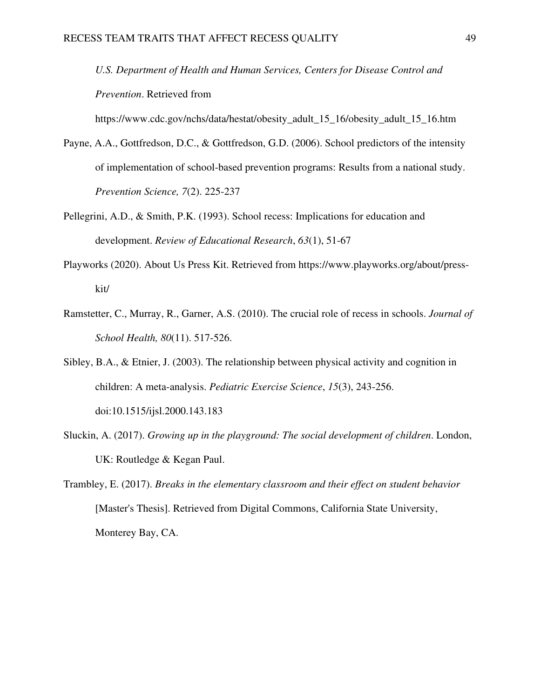*U.S. Department of Health and Human Services, Centers for Disease Control and Prevention*. Retrieved from

https://www.cdc.gov/nchs/data/hestat/obesity\_adult\_15\_16/obesity\_adult\_15\_16.htm

- Payne, A.A., Gottfredson, D.C., & Gottfredson, G.D. (2006). School predictors of the intensity of implementation of school-based prevention programs: Results from a national study. *Prevention Science, 7*(2). 225-237
- Pellegrini, A.D., & Smith, P.K. (1993). School recess: Implications for education and development. *Review of Educational Research*, *63*(1), 51-67
- Playworks (2020). About Us Press Kit. Retrieved from https://www.playworks.org/about/presskit/
- Ramstetter, C., Murray, R., Garner, A.S. (2010). The crucial role of recess in schools. *Journal of School Health, 80*(11). 517-526.
- Sibley, B.A., & Etnier, J. (2003). The relationship between physical activity and cognition in children: A meta-analysis. *Pediatric Exercise Science*, *15*(3), 243-256. doi:10.1515/ijsl.2000.143.183
- Sluckin, A. (2017). *Growing up in the playground: The social development of children*. London, UK: Routledge & Kegan Paul.
- Trambley, E. (2017). *Breaks in the elementary classroom and their effect on student behavior* [Master's Thesis]. Retrieved from Digital Commons, California State University, Monterey Bay, CA.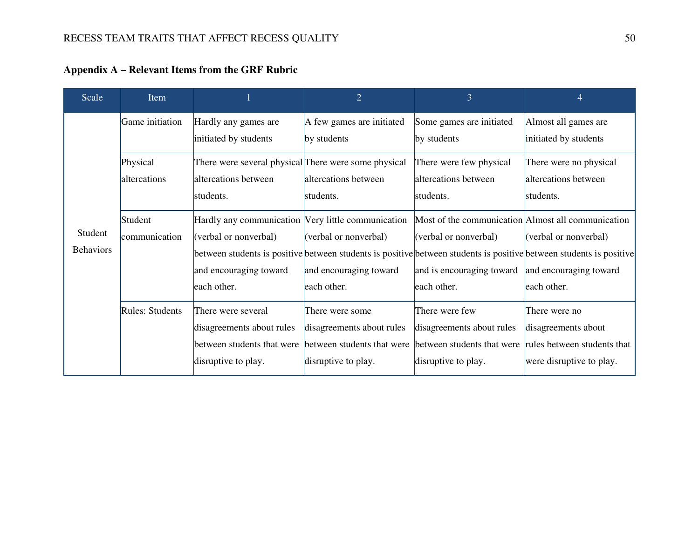| Scale                       | Item                        |                                                                                                                                                                                                                                             | $\overline{2}$                                                                                    | $\overline{3}$                                                                                                                                 | $\overline{4}$                                                                                  |
|-----------------------------|-----------------------------|---------------------------------------------------------------------------------------------------------------------------------------------------------------------------------------------------------------------------------------------|---------------------------------------------------------------------------------------------------|------------------------------------------------------------------------------------------------------------------------------------------------|-------------------------------------------------------------------------------------------------|
|                             | Game initiation<br>Physical | Hardly any games are<br>initiated by students<br>There were several physical There were some physical                                                                                                                                       | A few games are initiated<br>by students                                                          | Some games are initiated<br>by students<br>There were few physical                                                                             | Almost all games are<br>initiated by students<br>There were no physical                         |
|                             | altercations                | altercations between<br>students.                                                                                                                                                                                                           | altercations between<br>students.                                                                 | altercations between<br>students.                                                                                                              | altercations between<br>students.                                                               |
| Student<br><b>Behaviors</b> | Student<br>communication    | Hardly any communication Very little communication<br>(verbal or nonverbal)<br>between students is positive between students is positive between students is positive between students is positive<br>and encouraging toward<br>each other. | (verbal or nonverbal)<br>and encouraging toward<br>each other.                                    | Most of the communication Almost all communication<br>(verbal or nonverbal)<br>and is encouraging toward and encouraging toward<br>each other. | (verbal or nonverbal)<br>each other.                                                            |
|                             | <b>Rules: Students</b>      | There were several<br>disagreements about rules<br>between students that were<br>disruptive to play.                                                                                                                                        | There were some<br>disagreements about rules<br>between students that were<br>disruptive to play. | There were few<br>disagreements about rules<br>between students that were<br>disruptive to play.                                               | There were no<br>disagreements about<br>rules between students that<br>were disruptive to play. |

**Appendix A – Relevant Items from the GRF Rubric**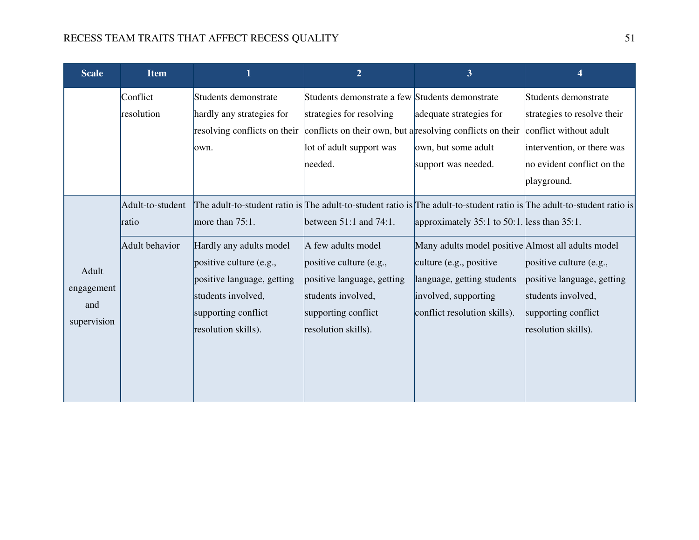| <b>Scale</b>                              | <b>Item</b>                                 |                                                                                                                                                                                                                                                                                                       | $\overline{2}$                                                                                                                                                                 | 3                                                                                                                                                                                                                  | 4                                                                                                                                                        |
|-------------------------------------------|---------------------------------------------|-------------------------------------------------------------------------------------------------------------------------------------------------------------------------------------------------------------------------------------------------------------------------------------------------------|--------------------------------------------------------------------------------------------------------------------------------------------------------------------------------|--------------------------------------------------------------------------------------------------------------------------------------------------------------------------------------------------------------------|----------------------------------------------------------------------------------------------------------------------------------------------------------|
|                                           | Conflict<br>resolution                      | Students demonstrate<br>hardly any strategies for<br>resolving conflicts on their conflicts on their own, but a resolving conflicts on their<br>lown.                                                                                                                                                 | Students demonstrate a few Students demonstrate<br>strategies for resolving<br>lot of adult support was<br>needed.                                                             | adequate strategies for<br>own, but some adult<br>support was needed.                                                                                                                                              | Students demonstrate<br>strategies to resolve their<br>conflict without adult<br>intervention, or there was<br>no evident conflict on the<br>playground. |
| Adult<br>engagement<br>and<br>supervision | Adult-to-student<br>ratio<br>Adult behavior | The adult-to-student ratio is The adult-to-student ratio is The adult-to-student ratio is The adult-to-student ratio is<br>more than $75:1$ .<br>Hardly any adults model<br>positive culture (e.g.,<br>positive language, getting<br>students involved,<br>supporting conflict<br>resolution skills). | between $51:1$ and $74:1$ .<br>A few adults model<br>positive culture (e.g.,<br>positive language, getting<br>students involved,<br>supporting conflict<br>resolution skills). | approximately 35:1 to 50:1. less than 35:1.<br>Many adults model positive Almost all adults model<br>culture (e.g., positive<br>language, getting students<br>involved, supporting<br>conflict resolution skills). | positive culture (e.g.,<br>positive language, getting<br>students involved,<br>supporting conflict<br>resolution skills).                                |